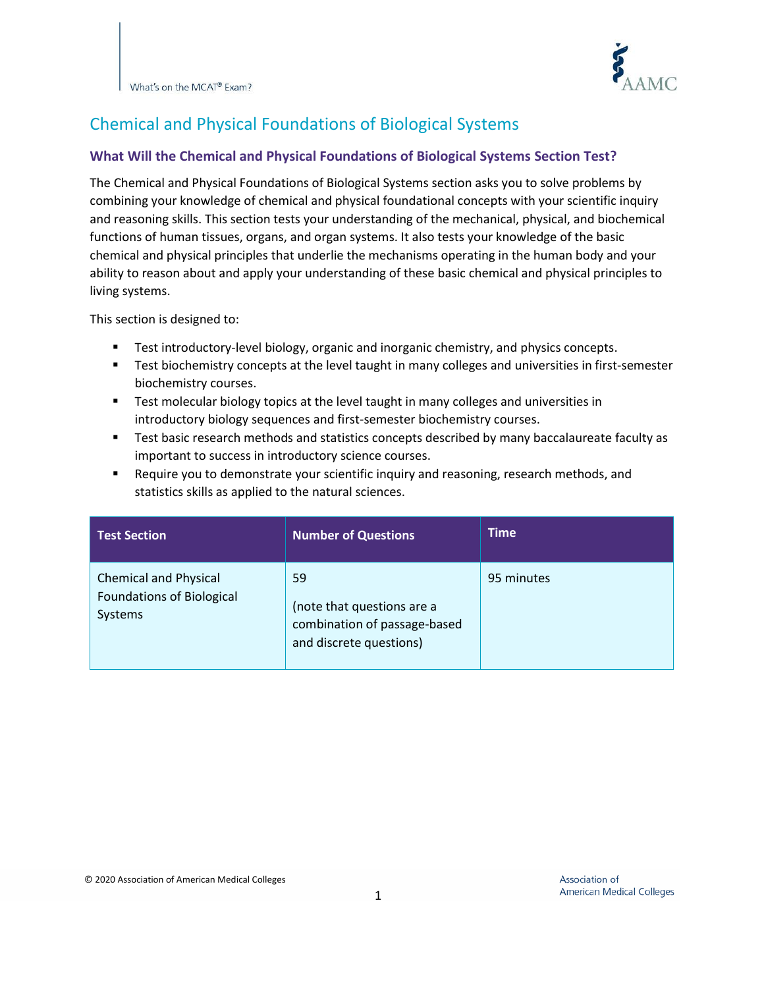

# Chemical and Physical Foundations of Biological Systems

# **What Will the Chemical and Physical Foundations of Biological Systems Section Test?**

The Chemical and Physical Foundations of Biological Systems section asks you to solve problems by combining your knowledge of chemical and physical foundational concepts with your scientific inquiry and reasoning skills. This section tests your understanding of the mechanical, physical, and biochemical functions of human tissues, organs, and organ systems. It also tests your knowledge of the basic chemical and physical principles that underlie the mechanisms operating in the human body and your ability to reason about and apply your understanding of these basic chemical and physical principles to living systems.

This section is designed to:

- **■** Test introductory-level biology, organic and inorganic chemistry, and physics concepts.
- **•** Test biochemistry concepts at the level taught in many colleges and universities in first-semester biochemistry courses.
- **•** Test molecular biology topics at the level taught in many colleges and universities in introductory biology sequences and first-semester biochemistry courses.
- **EXECT FOR STATE STATE FIGUREY 12 THS IS A SET ASSET FARK** is and the state of aculty as **FIGURE 1** Test of an and the state faculty as important to success in introductory science courses.
- Require you to demonstrate your scientific inquiry and reasoning, research methods, and statistics skills as applied to the natural sciences.

| <b>Test Section</b>                                                         | <b>Number of Questions</b>                                                                  | <b>Time</b> |
|-----------------------------------------------------------------------------|---------------------------------------------------------------------------------------------|-------------|
| <b>Chemical and Physical</b><br><b>Foundations of Biological</b><br>Systems | 59<br>(note that questions are a<br>combination of passage-based<br>and discrete questions) | 95 minutes  |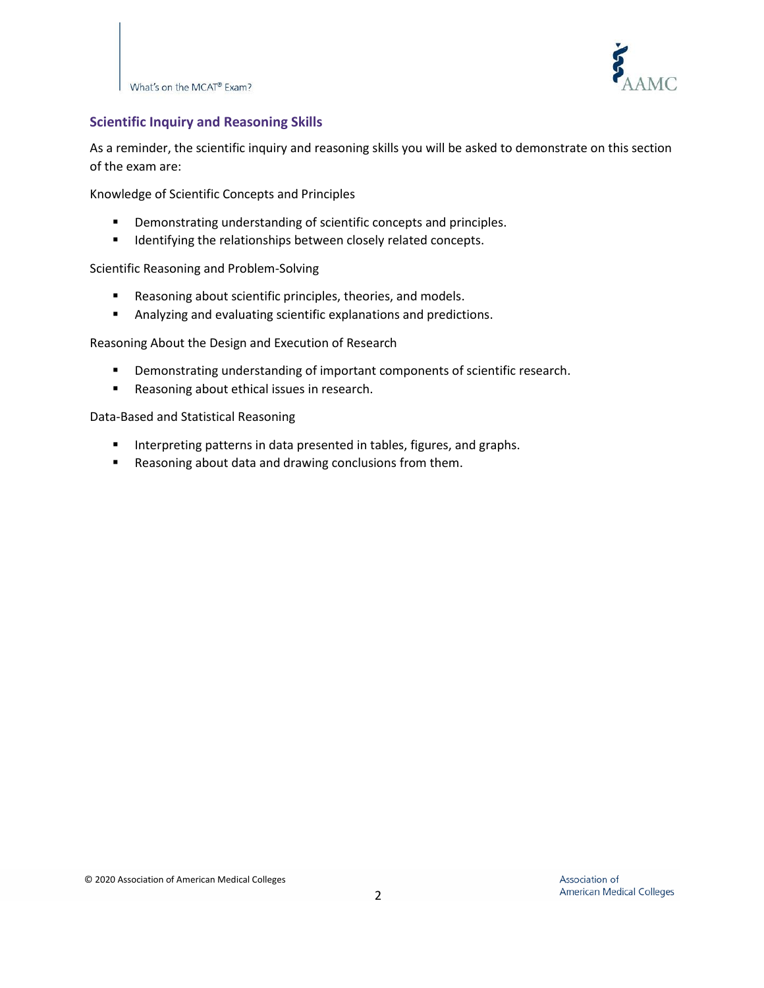

# **Scientific Inquiry and Reasoning Skills**

As a reminder, the scientific inquiry and reasoning skills you will be asked to demonstrate on this section of the exam are:

Knowledge of Scientific Concepts and Principles

- Demonstrating understanding of scientific concepts and principles.
- **■** Identifying the relationships between closely related concepts.

Scientific Reasoning and Problem-Solving

- Reasoning about scientific principles, theories, and models.
- Analyzing and evaluating scientific explanations and predictions.

Reasoning About the Design and Execution of Research

- Demonstrating understanding of important components of scientific research.
- Reasoning about ethical issues in research.

Data-Based and Statistical Reasoning

- **■** Interpreting patterns in data presented in tables, figures, and graphs.
- Reasoning about data and drawing conclusions from them.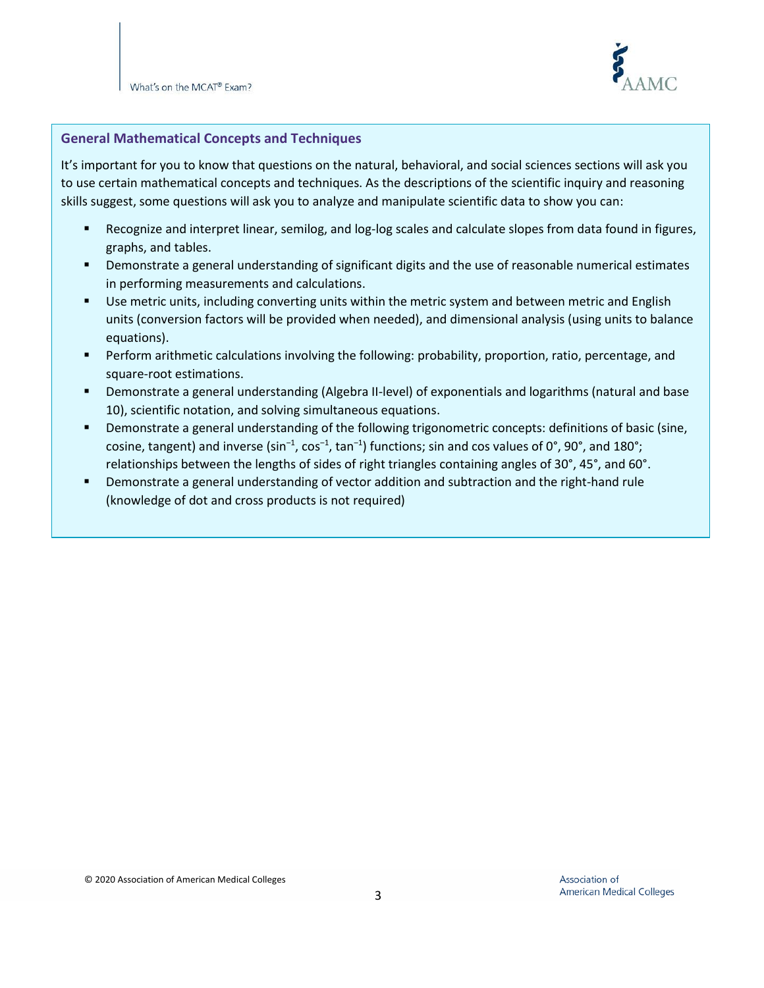

### **General Mathematical Concepts and Techniques**

It's important for you to know that questions on the natural, behavioral, and social sciences sections will ask you to use certain mathematical concepts and techniques. As the descriptions of the scientific inquiry and reasoning skills suggest, some questions will ask you to analyze and manipulate scientific data to show you can:

- Recognize and interpret linear, semilog, and log-log scales and calculate slopes from data found in figures, graphs, and tables.
- Demonstrate a general understanding of significant digits and the use of reasonable numerical estimates in performing measurements and calculations.
- Use metric units, including converting units within the metric system and between metric and English units (conversion factors will be provided when needed), and dimensional analysis (using units to balance equations).
- Perform arithmetic calculations involving the following: probability, proportion, ratio, percentage, and square-root estimations.
- Demonstrate a general understanding (Algebra II-level) of exponentials and logarithms (natural and base 10), scientific notation, and solving simultaneous equations.
- Demonstrate a general understanding of the following trigonometric concepts: definitions of basic (sine, cosine, tangent) and inverse (sin<sup>-1</sup>, cos<sup>-1</sup>, tan<sup>-1</sup>) functions; sin and cos values of 0°, 90°, and 180°; relationships between the lengths of sides of right triangles containing angles of 30°, 45°, and 60°.
- Demonstrate a general understanding of vector addition and subtraction and the right-hand rule (knowledge of dot and cross products is not required)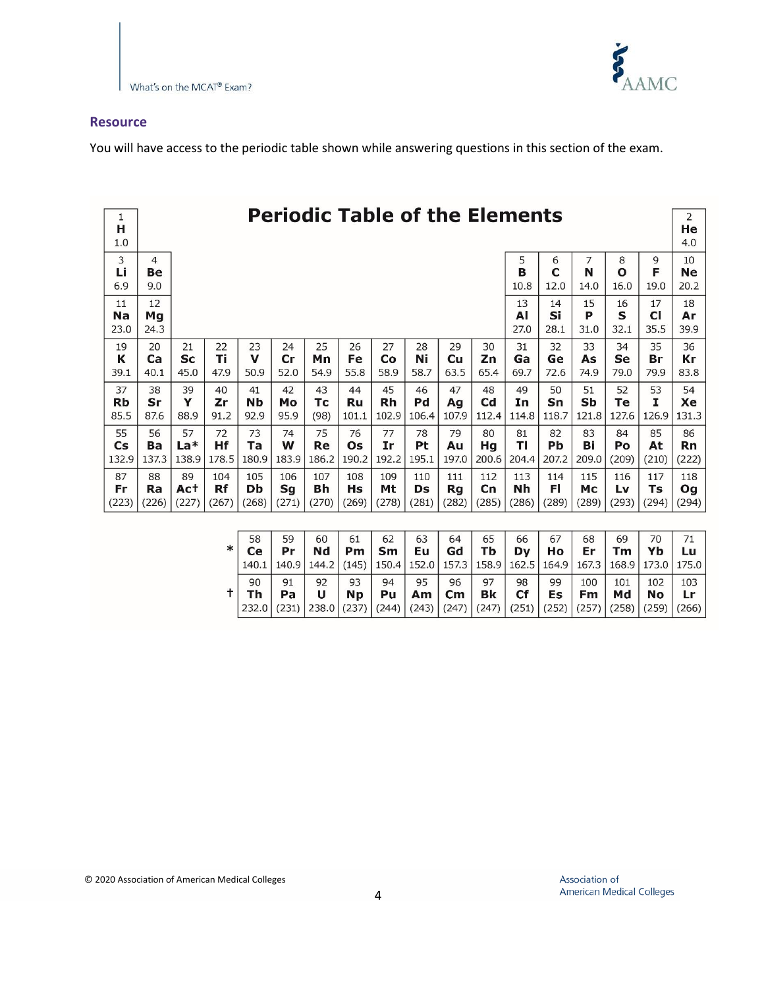



#### **Resource**

You will have access to the periodic table shown while answering questions in this section of the exam.

| 1          | <b>Periodic Table of the Elements</b> |                                      |            |             |            |            |             |             |             |             | 2           |             |             |             |                   |            |                 |
|------------|---------------------------------------|--------------------------------------|------------|-------------|------------|------------|-------------|-------------|-------------|-------------|-------------|-------------|-------------|-------------|-------------------|------------|-----------------|
| н<br>1.0   |                                       |                                      |            |             |            |            |             |             |             |             |             |             |             |             |                   |            | He<br>4.0       |
|            |                                       |                                      |            |             |            |            |             |             |             |             |             |             |             |             |                   |            |                 |
| 3<br>Li    | $\overline{4}$<br>Be                  |                                      |            |             |            |            |             |             |             |             |             | 5<br>B      | 6<br>C      | 7<br>N      | 8<br>$\mathbf{o}$ | 9<br>F     | 10<br><b>Ne</b> |
| 6.9        | 9.0                                   | 10.8<br>12.0<br>14.0<br>16.0<br>19.0 |            |             |            |            |             |             |             |             | 20.2        |             |             |             |                   |            |                 |
| 11         | 12                                    | 13<br>15<br>18<br>14<br>16<br>17     |            |             |            |            |             |             |             |             |             |             |             |             |                   |            |                 |
| Na         | Mg                                    |                                      |            |             |            |            |             |             |             |             |             | Al          | Si          | P           | S                 | <b>CI</b>  | Ar              |
| 23.0       | 24.3                                  |                                      |            |             |            |            |             |             |             |             |             | 27.0        | 28.1        | 31.0        | 32.1              | 35.5       | 39.9            |
| 19         | 20                                    | 21                                   | 22         | 23          | 24         | 25         | 26          | 27          | 28          | 29          | 30          | 31          | 32          | 33          | 34                | 35         | 36              |
| K          | Ca                                    | <b>Sc</b>                            | Τi         | $\mathbf v$ | cr         | Mn         | Fe          | Co          | Ni          | Cu          | Zn          | Ga          | Ge          | As          | <b>Se</b>         | Br         | Kr              |
| 39.1       | 40.1                                  | 45.0                                 | 47.9       | 50.9        | 52.0       | 54.9       | 55.8        | 58.9        | 58.7        | 63.5        | 65.4        | 69.7        | 72.6        | 74.9        | 79.0              | 79.9       | 83.8            |
| 37         | 38                                    | 39                                   | 40         | 41          | 42         | 43         | 44          | 45          | 46          | 47          | 48          | 49          | 50          | 51          | 52                | 53         | 54              |
| Rb<br>85.5 | Sr<br>87.6                            | Y<br>88.9                            | Zr<br>91.2 | Nb<br>92.9  | Mo<br>95.9 | Tc<br>(98) | Ru<br>101.1 | Rh<br>102.9 | Pd<br>106.4 | Aq<br>107.9 | Cd<br>112.4 | In<br>114.8 | Sn<br>118.7 | Sb<br>121.8 | Te<br>127.6       | I<br>126.9 | Xe<br>131.3     |
| 55         | 56                                    | 57                                   | 72         | 73          | 74         | 75         | 76          | 77          | 78          | 79          | 80          | 81          | 82          | 83          | 84                | 85         | 86              |
| Cs         | Ba                                    | $La*$                                | Hf         | Ta          | W          | Re         | Os          | Ir          | Pt          | Au          | Hg          | ΤI          | Pb          | Bi          | Po                | At         | <b>Rn</b>       |
| 132.9      | 137.3                                 | 138.9                                | 178.5      | 180.9       | 183.9      | 186.2      | 190.2       | 192.2       | 195.1       | 197.0       | 200.6       | 204.4       | 207.2       | 209.0       | (209)             | (210)      | (222)           |
| 87         | 88                                    | 89                                   | 104        | 105         | 106        | 107        | 108         | 109         | 110         | 111         | 112         | 113         | 114         | 115         | 116               | 117        | 118             |
| Fr         | Ra                                    | Act                                  | <b>Rf</b>  | Db          | Sq         | Bh         | <b>Hs</b>   | Mt          | Ds          | Rq          | cn          | Nh          | FI          | Mc          | Lv                | Ts         | Og              |
| (223)      | (226)                                 | (227)                                | (267)      | (268)       | (271)      | (270)      | (269)       | (278)       | (281)       | (282)       | (285)       | (286)       | (289)       | (289)       | (293)             | (294)      | (294)           |
|            |                                       |                                      |            |             |            |            |             |             |             |             |             |             |             |             |                   |            |                 |
|            |                                       |                                      |            | 58          | 59         | 60         | 61          | 62          | 63          | 64          | 65          | 66          | 67          | 68          | 69                | 70         | 71              |
|            |                                       |                                      | $\ast$     | Ce          | Pr         | Nd         | Pm          | Sm          | Eu          | Gd          | Tb          | Dy          | Ho          | Er          | Tm                | Yb         | Lu              |
|            |                                       |                                      |            | 140.1       | 140.9      | 144.2      | (145)       | 150.4       | 152.0       | 157.3       | 158.9       | 162.5       | 164.9       | 167.3       | 168.9             | 173.0      | 175.0           |

95

Am

 $(243)$ 

96

 $\mathsf{cm}$ 

 $(247)$ 

97

**Bk** 

 $(247)$ 

99

Es

 $(252)$ 

98

**Cf** 

 $(251)$ 

100

Fm

 $(257)$ 

101

Md

 $(258)$ 

102

 $\mathop{\mathsf{No}}$ 

 $(259)$ 

103

Lr

 $(266)$ 

© 2020 Association of American Medical Colleges

92

 $\mathsf{U}$ 

238.0

93

**Np** 

 $(237)$ 

94

Pu

 $(244)$ 

 $90$ 

Th

 $232.0$ 

t

91

Pa

 $(231)$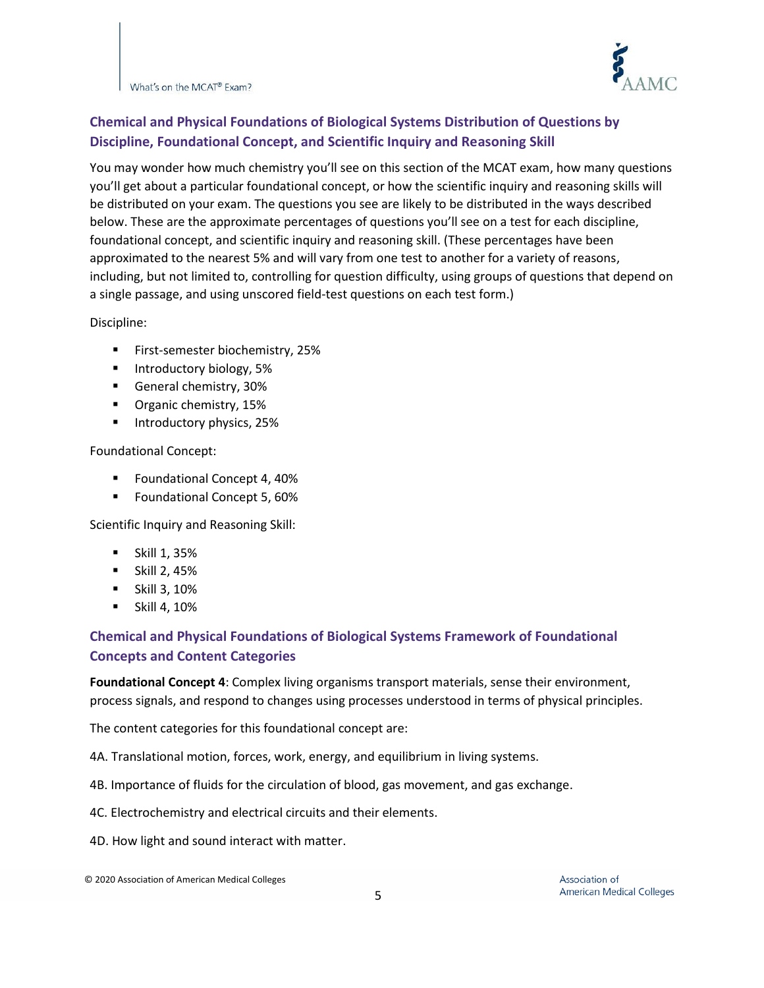

# **Chemical and Physical Foundations of Biological Systems Distribution of Questions by Discipline, Foundational Concept, and Scientific Inquiry and Reasoning Skill**

You may wonder how much chemistry you'll see on this section of the MCAT exam, how many questions you'll get about a particular foundational concept, or how the scientific inquiry and reasoning skills will be distributed on your exam. The questions you see are likely to be distributed in the ways described below. These are the approximate percentages of questions you'll see on a test for each discipline, foundational concept, and scientific inquiry and reasoning skill. (These percentages have been approximated to the nearest 5% and will vary from one test to another for a variety of reasons, including, but not limited to, controlling for question difficulty, using groups of questions that depend on a single passage, and using unscored field-test questions on each test form.)

# Discipline:

- **EXECTED** First-semester biochemistry, 25%
- Introductory biology, 5%
- General chemistry, 30%
- Organic chemistry, 15%
- Introductory physics, 25%

# Foundational Concept:

- Foundational Concept 4, 40%
- Foundational Concept 5, 60%

Scientific Inquiry and Reasoning Skill:

- Skill 1, 35%
- Skill 2, 45%
- Skill 3, 10%
- $\blacksquare$  Skill 4, 10%

# **Chemical and Physical Foundations of Biological Systems Framework of Foundational Concepts and Content Categories**

**Foundational Concept 4**: Complex living organisms transport materials, sense their environment, process signals, and respond to changes using processes understood in terms of physical principles.

The content categories for this foundational concept are:

- 4A. Translational motion, forces, work, energy, and equilibrium in living systems.
- 4B. Importance of fluids for the circulation of blood, gas movement, and gas exchange.
- 4C. Electrochemistry and electrical circuits and their elements.
- 4D. How light and sound interact with matter.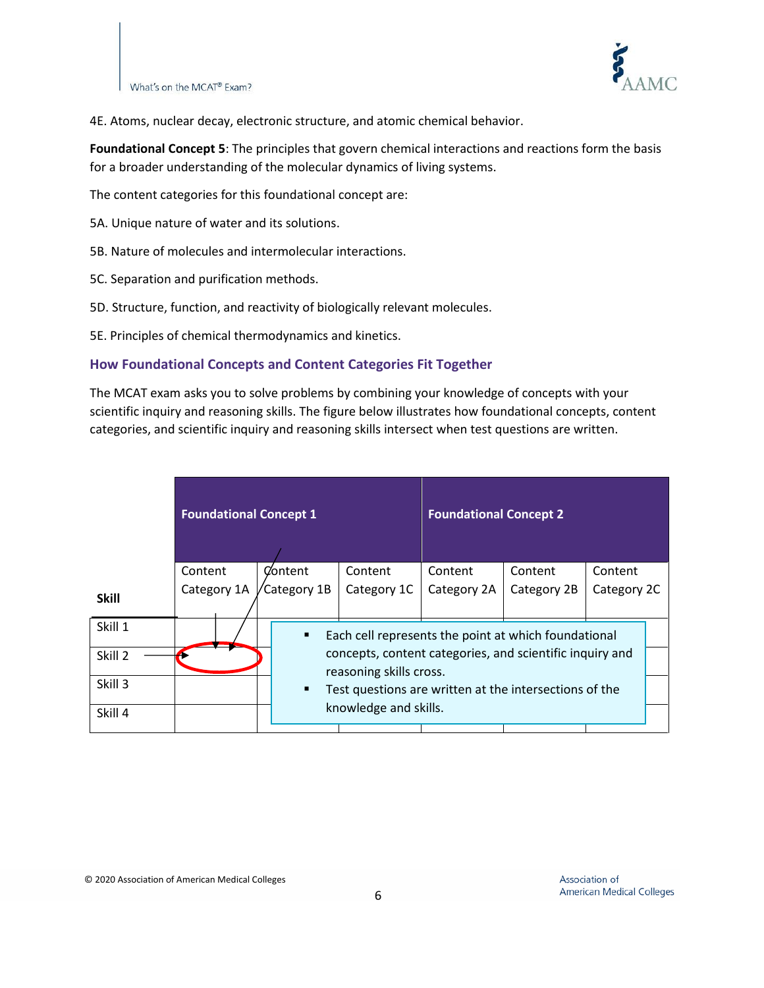

4E. Atoms, nuclear decay, electronic structure, and atomic chemical behavior.

**Foundational Concept 5**: The principles that govern chemical interactions and reactions form the basis for a broader understanding of the molecular dynamics of living systems.

The content categories for this foundational concept are:

- 5A. Unique nature of water and its solutions.
- 5B. Nature of molecules and intermolecular interactions.
- 5C. Separation and purification methods.
- 5D. Structure, function, and reactivity of biologically relevant molecules.
- 5E. Principles of chemical thermodynamics and kinetics.

# **How Foundational Concepts and Content Categories Fit Together**

The MCAT exam asks you to solve problems by combining your knowledge of concepts with your scientific inquiry and reasoning skills. The figure below illustrates how foundational concepts, content categories, and scientific inquiry and reasoning skills intersect when test questions are written.

|                    | <b>Foundational Concept 1</b> |                                                                                     |             | <b>Foundational Concept 2</b> |                                                      |             |  |
|--------------------|-------------------------------|-------------------------------------------------------------------------------------|-------------|-------------------------------|------------------------------------------------------|-------------|--|
|                    | Content                       | <b>Content</b>                                                                      | Content     | Content                       | Content                                              | Content     |  |
| <b>Skill</b>       | Category 1A                   | Category 1B                                                                         | Category 1C | Category 2A                   | Category 2B                                          | Category 2C |  |
| Skill 1            |                               |                                                                                     |             |                               | Each cell represents the point at which foundational |             |  |
| Skill <sub>2</sub> |                               | concepts, content categories, and scientific inquiry and<br>reasoning skills cross. |             |                               |                                                      |             |  |
| Skill 3            |                               | Test questions are written at the intersections of the<br>knowledge and skills.     |             |                               |                                                      |             |  |
| Skill 4            |                               |                                                                                     |             |                               |                                                      |             |  |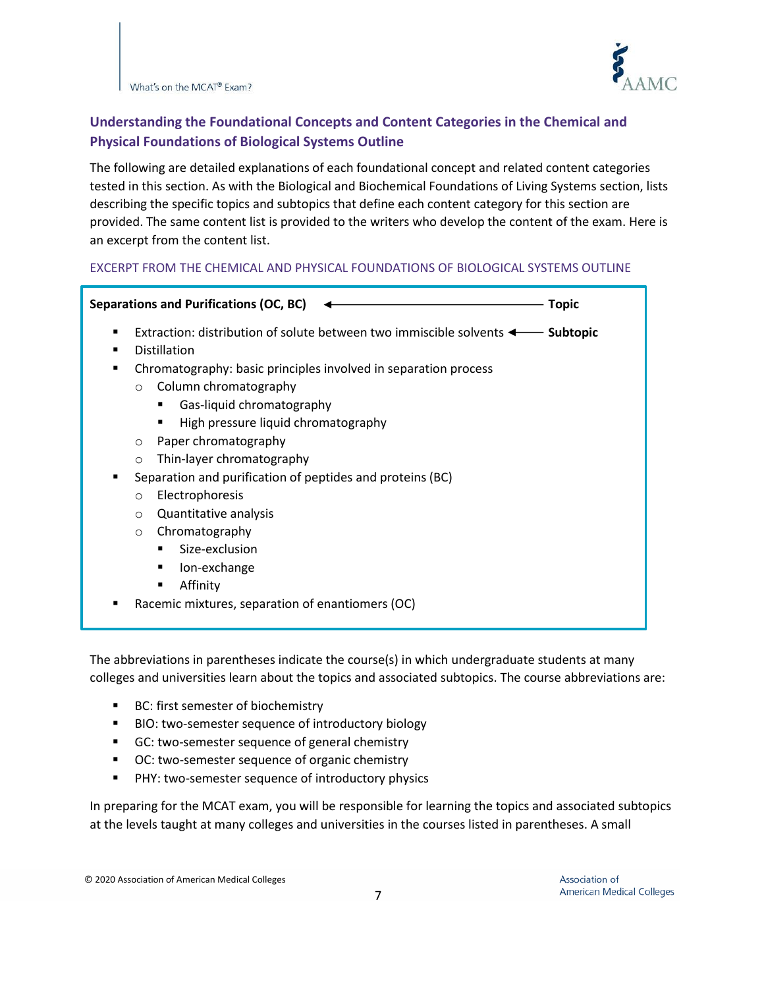

# **Understanding the Foundational Concepts and Content Categories in the Chemical and Physical Foundations of Biological Systems Outline**

The following are detailed explanations of each foundational concept and related content categories tested in this section. As with the Biological and Biochemical Foundations of Living Systems section, lists describing the specific topics and subtopics that define each content category for this section are provided. The same content list is provided to the writers who develop the content of the exam. Here is an excerpt from the content list.

# EXCERPT FROM THE CHEMICAL AND PHYSICAL FOUNDATIONS OF BIOLOGICAL SYSTEMS OUTLINE

|        | <b>Separations and Purifications (OC, BC)</b><br>Topic                                          |
|--------|-------------------------------------------------------------------------------------------------|
| ٠<br>٠ | Extraction: distribution of solute between two immiscible solvents < - Subtopic<br>Distillation |
| п      | Chromatography: basic principles involved in separation process                                 |
|        | Column chromatography<br>$\circ$                                                                |
|        | Gas-liquid chromatography<br>٠                                                                  |
|        | High pressure liquid chromatography<br>٠                                                        |
|        | Paper chromatography<br>$\circ$                                                                 |
|        | Thin-layer chromatography<br>$\circ$                                                            |
|        | Separation and purification of peptides and proteins (BC)                                       |
|        | Electrophoresis<br>$\circ$                                                                      |
|        | Quantitative analysis<br>$\circ$                                                                |
|        | Chromatography<br>$\circ$                                                                       |
|        | Size-exclusion<br>٠                                                                             |
|        | Ion-exchange                                                                                    |
|        | Affinity<br>٠                                                                                   |
|        | Racemic mixtures, separation of enantiomers (OC)                                                |

The abbreviations in parentheses indicate the course(s) in which undergraduate students at many colleges and universities learn about the topics and associated subtopics. The course abbreviations are:

- BC: first semester of biochemistry
- BIO: two-semester sequence of introductory biology
- GC: two-semester sequence of general chemistry
- OC: two-semester sequence of organic chemistry
- PHY: two-semester sequence of introductory physics

In preparing for the MCAT exam, you will be responsible for learning the topics and associated subtopics at the levels taught at many colleges and universities in the courses listed in parentheses. A small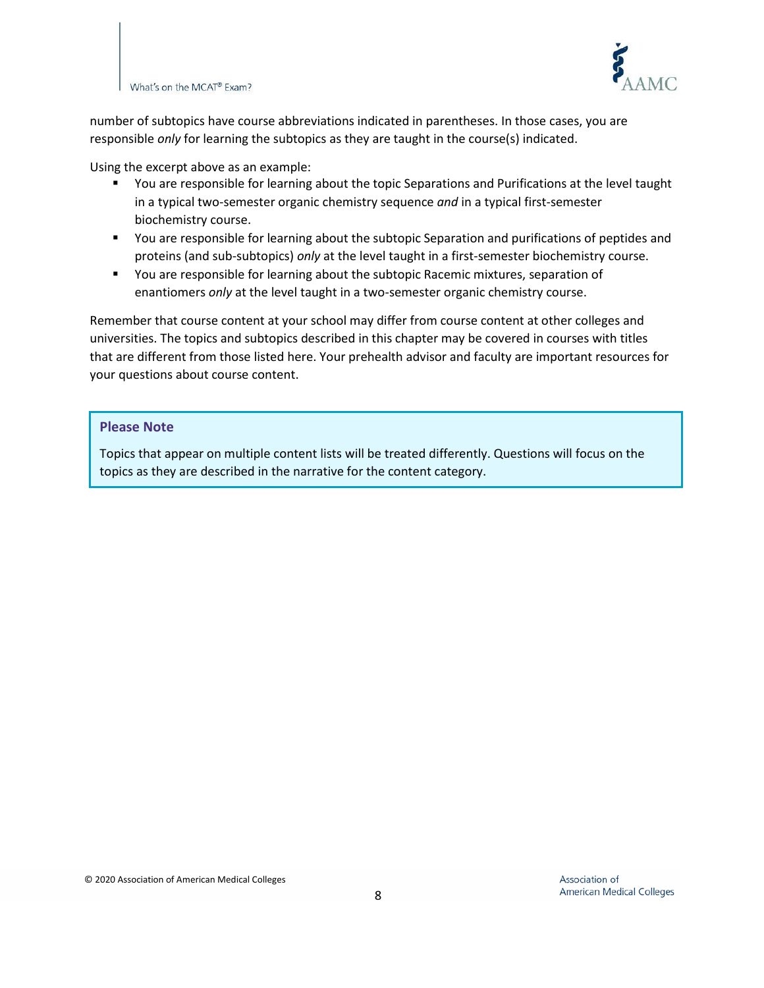

number of subtopics have course abbreviations indicated in parentheses. In those cases, you are responsible *only* for learning the subtopics as they are taught in the course(s) indicated.

Using the excerpt above as an example:

- You are responsible for learning about the topic Separations and Purifications at the level taught in a typical two-semester organic chemistry sequence *and* in a typical first-semester biochemistry course.
- You are responsible for learning about the subtopic Separation and purifications of peptides and proteins (and sub-subtopics) *only* at the level taught in a first-semester biochemistry course.
- You are responsible for learning about the subtopic Racemic mixtures, separation of enantiomers *only* at the level taught in a two-semester organic chemistry course.

Remember that course content at your school may differ from course content at other colleges and universities. The topics and subtopics described in this chapter may be covered in courses with titles that are different from those listed here. Your prehealth advisor and faculty are important resources for your questions about course content.

# **Please Note**

Topics that appear on multiple content lists will be treated differently. Questions will focus on the topics as they are described in the narrative for the content category.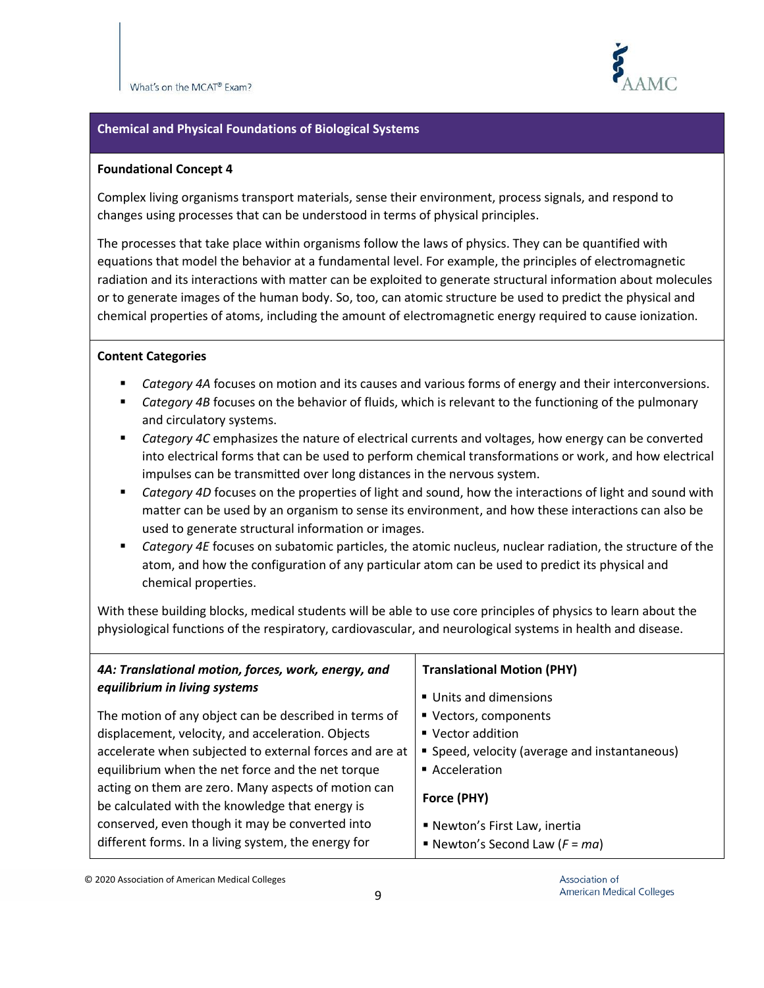

#### **Chemical and Physical Foundations of Biological Systems**

#### **Foundational Concept 4**

Complex living organisms transport materials, sense their environment, process signals, and respond to changes using processes that can be understood in terms of physical principles.

The processes that take place within organisms follow the laws of physics. They can be quantified with equations that model the behavior at a fundamental level. For example, the principles of electromagnetic radiation and its interactions with matter can be exploited to generate structural information about molecules or to generate images of the human body. So, too, can atomic structure be used to predict the physical and chemical properties of atoms, including the amount of electromagnetic energy required to cause ionization.

#### **Content Categories**

- Category 4A focuses on motion and its causes and various forms of energy and their interconversions.
- *Category 4B* focuses on the behavior of fluids, which is relevant to the functioning of the pulmonary and circulatory systems.
- *Category 4C* emphasizes the nature of electrical currents and voltages, how energy can be converted into electrical forms that can be used to perform chemical transformations or work, and how electrical impulses can be transmitted over long distances in the nervous system.
- **Example 3** Category 4D focuses on the properties of light and sound, how the interactions of light and sound with matter can be used by an organism to sense its environment, and how these interactions can also be used to generate structural information or images.
- Category 4E focuses on subatomic particles, the atomic nucleus, nuclear radiation, the structure of the atom, and how the configuration of any particular atom can be used to predict its physical and chemical properties.

With these building blocks, medical students will be able to use core principles of physics to learn about the physiological functions of the respiratory, cardiovascular, and neurological systems in health and disease.

| 4A: Translational motion, forces, work, energy, and                                                                                                         | <b>Translational Motion (PHY)</b>                             |
|-------------------------------------------------------------------------------------------------------------------------------------------------------------|---------------------------------------------------------------|
| equilibrium in living systems                                                                                                                               | Units and dimensions                                          |
| The motion of any object can be described in terms of                                                                                                       | ■ Vectors, components                                         |
| displacement, velocity, and acceleration. Objects                                                                                                           | ■ Vector addition                                             |
| accelerate when subjected to external forces and are at                                                                                                     | • Speed, velocity (average and instantaneous)<br>Acceleration |
| equilibrium when the net force and the net torque<br>acting on them are zero. Many aspects of motion can<br>be calculated with the knowledge that energy is | Force (PHY)                                                   |
| conserved, even though it may be converted into                                                                                                             | " Newton's First Law, inertia                                 |
| different forms. In a living system, the energy for                                                                                                         | Newton's Second Law $(F = ma)$                                |

© 2020 Association of American Medical Colleges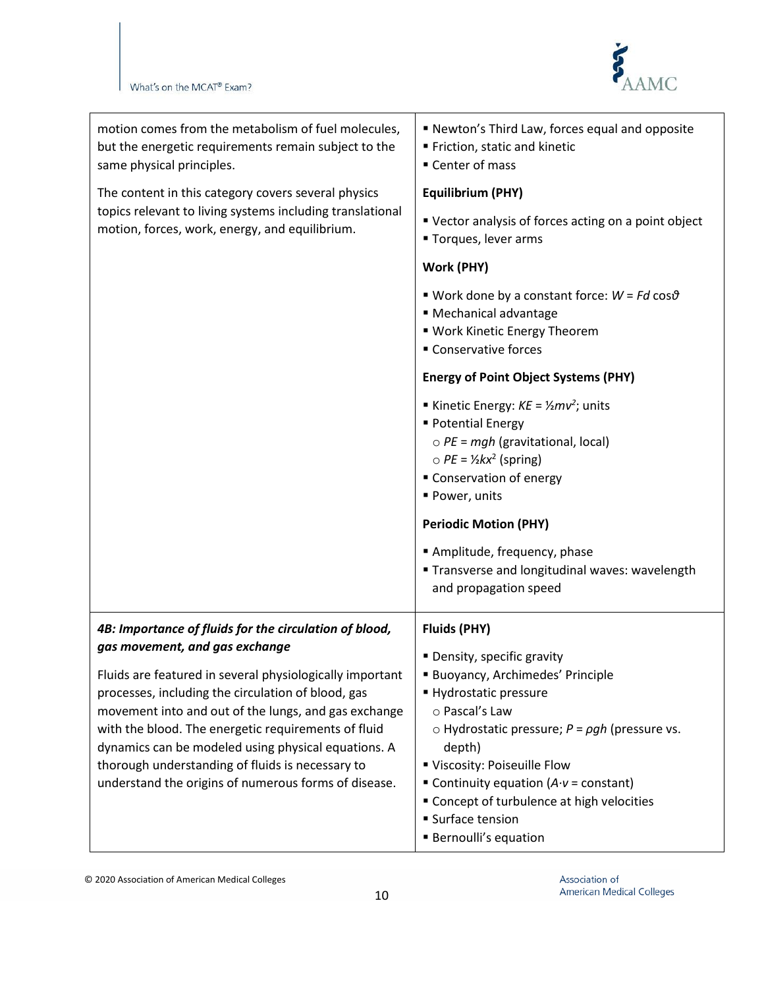

| motion comes from the metabolism of fuel molecules,<br>but the energetic requirements remain subject to the<br>same physical principles.                                                                                                                                                                                                                                                                                                                                                     | " Newton's Third Law, forces equal and opposite<br>Friction, static and kinetic<br>■ Center of mass                                                                                                                                                                                                                                                                                               |  |  |
|----------------------------------------------------------------------------------------------------------------------------------------------------------------------------------------------------------------------------------------------------------------------------------------------------------------------------------------------------------------------------------------------------------------------------------------------------------------------------------------------|---------------------------------------------------------------------------------------------------------------------------------------------------------------------------------------------------------------------------------------------------------------------------------------------------------------------------------------------------------------------------------------------------|--|--|
| The content in this category covers several physics                                                                                                                                                                                                                                                                                                                                                                                                                                          | <b>Equilibrium (PHY)</b>                                                                                                                                                                                                                                                                                                                                                                          |  |  |
| topics relevant to living systems including translational<br>motion, forces, work, energy, and equilibrium.                                                                                                                                                                                                                                                                                                                                                                                  | " Vector analysis of forces acting on a point object<br>" Torques, lever arms                                                                                                                                                                                                                                                                                                                     |  |  |
|                                                                                                                                                                                                                                                                                                                                                                                                                                                                                              | Work (PHY)                                                                                                                                                                                                                                                                                                                                                                                        |  |  |
|                                                                                                                                                                                                                                                                                                                                                                                                                                                                                              | ■ Work done by a constant force: $W = Fd \cos \vartheta$<br>■ Mechanical advantage<br>" Work Kinetic Energy Theorem<br>Conservative forces                                                                                                                                                                                                                                                        |  |  |
|                                                                                                                                                                                                                                                                                                                                                                                                                                                                                              | <b>Energy of Point Object Systems (PHY)</b>                                                                                                                                                                                                                                                                                                                                                       |  |  |
|                                                                                                                                                                                                                                                                                                                                                                                                                                                                                              | Kinetic Energy: $KE = 12mv^2$ ; units<br>• Potential Energy<br>$\circ$ PE = mgh (gravitational, local)<br>$\circ$ PE = ½kx <sup>2</sup> (spring)<br>" Conservation of energy<br>" Power, units<br><b>Periodic Motion (PHY)</b><br>Amplitude, frequency, phase<br>" Transverse and longitudinal waves: wavelength<br>and propagation speed                                                         |  |  |
| 4B: Importance of fluids for the circulation of blood,<br>gas movement, and gas exchange<br>Fluids are featured in several physiologically important<br>processes, including the circulation of blood, gas<br>movement into and out of the lungs, and gas exchange<br>with the blood. The energetic requirements of fluid<br>dynamics can be modeled using physical equations. A<br>thorough understanding of fluids is necessary to<br>understand the origins of numerous forms of disease. | <b>Fluids (PHY)</b><br>• Density, specific gravity<br><b>Buoyancy, Archimedes' Principle</b><br>■ Hydrostatic pressure<br>o Pascal's Law<br>$\circ$ Hydrostatic pressure; P = $\rho gh$ (pressure vs.<br>depth)<br>" Viscosity: Poiseuille Flow<br>Continuity equation $(A \cdot v = constant)$<br>" Concept of turbulence at high velocities<br>■ Surface tension<br><b>Bernoulli's equation</b> |  |  |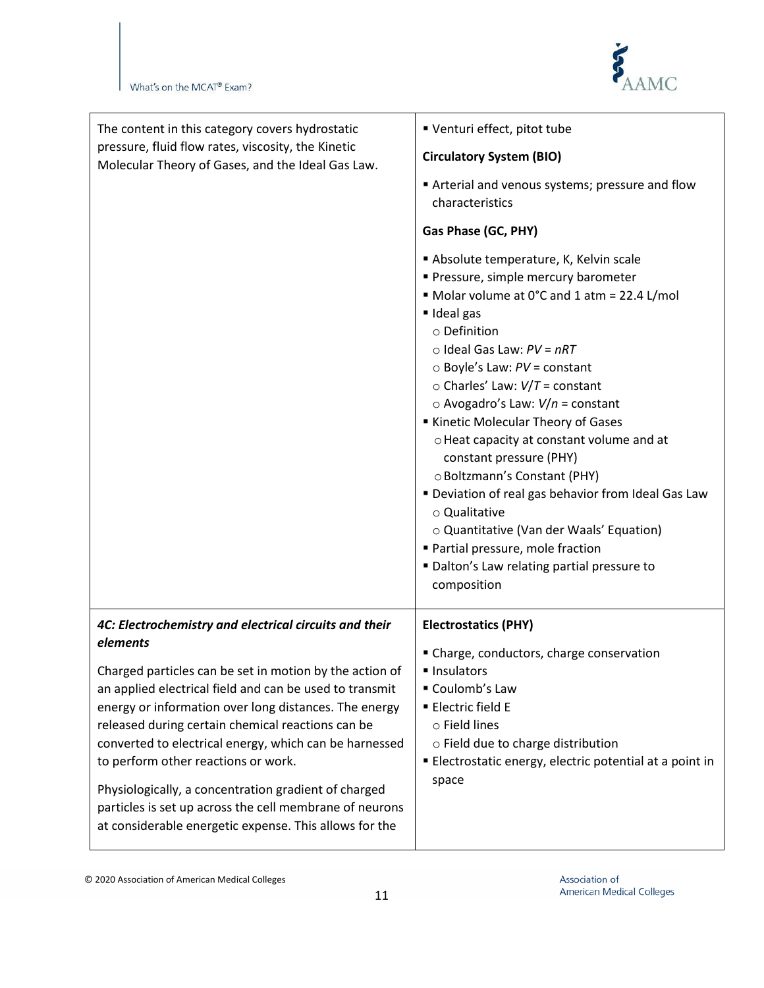

| The content in this category covers hydrostatic                                                                                                                                                                                                                                                                                                                                                                                                                                                                | " Venturi effect, pitot tube                                                                                                                                                                                                                                                                                                                                                                                                                                                                                                                                                                                                                                                                        |
|----------------------------------------------------------------------------------------------------------------------------------------------------------------------------------------------------------------------------------------------------------------------------------------------------------------------------------------------------------------------------------------------------------------------------------------------------------------------------------------------------------------|-----------------------------------------------------------------------------------------------------------------------------------------------------------------------------------------------------------------------------------------------------------------------------------------------------------------------------------------------------------------------------------------------------------------------------------------------------------------------------------------------------------------------------------------------------------------------------------------------------------------------------------------------------------------------------------------------------|
| pressure, fluid flow rates, viscosity, the Kinetic<br>Molecular Theory of Gases, and the Ideal Gas Law.                                                                                                                                                                                                                                                                                                                                                                                                        | <b>Circulatory System (BIO)</b>                                                                                                                                                                                                                                                                                                                                                                                                                                                                                                                                                                                                                                                                     |
|                                                                                                                                                                                                                                                                                                                                                                                                                                                                                                                | Arterial and venous systems; pressure and flow<br>characteristics                                                                                                                                                                                                                                                                                                                                                                                                                                                                                                                                                                                                                                   |
|                                                                                                                                                                                                                                                                                                                                                                                                                                                                                                                | Gas Phase (GC, PHY)                                                                                                                                                                                                                                                                                                                                                                                                                                                                                                                                                                                                                                                                                 |
|                                                                                                                                                                                                                                                                                                                                                                                                                                                                                                                | Absolute temperature, K, Kelvin scale<br>" Pressure, simple mercury barometer<br>Molar volume at 0°C and 1 atm = 22.4 L/mol<br>■ Ideal gas<br>o Definition<br>$\circ$ Ideal Gas Law: PV = nRT<br>$\circ$ Boyle's Law: $PV = constant$<br>$\circ$ Charles' Law: $V/T = constant$<br>$\circ$ Avogadro's Law: $V/n = constant$<br>Kinetic Molecular Theory of Gases<br>o Heat capacity at constant volume and at<br>constant pressure (PHY)<br>o Boltzmann's Constant (PHY)<br>" Deviation of real gas behavior from Ideal Gas Law<br>$\circ$ Qualitative<br>○ Quantitative (Van der Waals' Equation)<br>Partial pressure, mole fraction<br>" Dalton's Law relating partial pressure to<br>composition |
| 4C: Electrochemistry and electrical circuits and their<br>elements                                                                                                                                                                                                                                                                                                                                                                                                                                             | <b>Electrostatics (PHY)</b>                                                                                                                                                                                                                                                                                                                                                                                                                                                                                                                                                                                                                                                                         |
| Charged particles can be set in motion by the action of<br>an applied electrical field and can be used to transmit<br>energy or information over long distances. The energy<br>released during certain chemical reactions can be<br>converted to electrical energy, which can be harnessed<br>to perform other reactions or work.<br>Physiologically, a concentration gradient of charged<br>particles is set up across the cell membrane of neurons<br>at considerable energetic expense. This allows for the | " Charge, conductors, charge conservation<br>■ Insulators<br>" Coulomb's Law<br>■ Electric field E<br>o Field lines<br>o Field due to charge distribution<br>Electrostatic energy, electric potential at a point in<br>space                                                                                                                                                                                                                                                                                                                                                                                                                                                                        |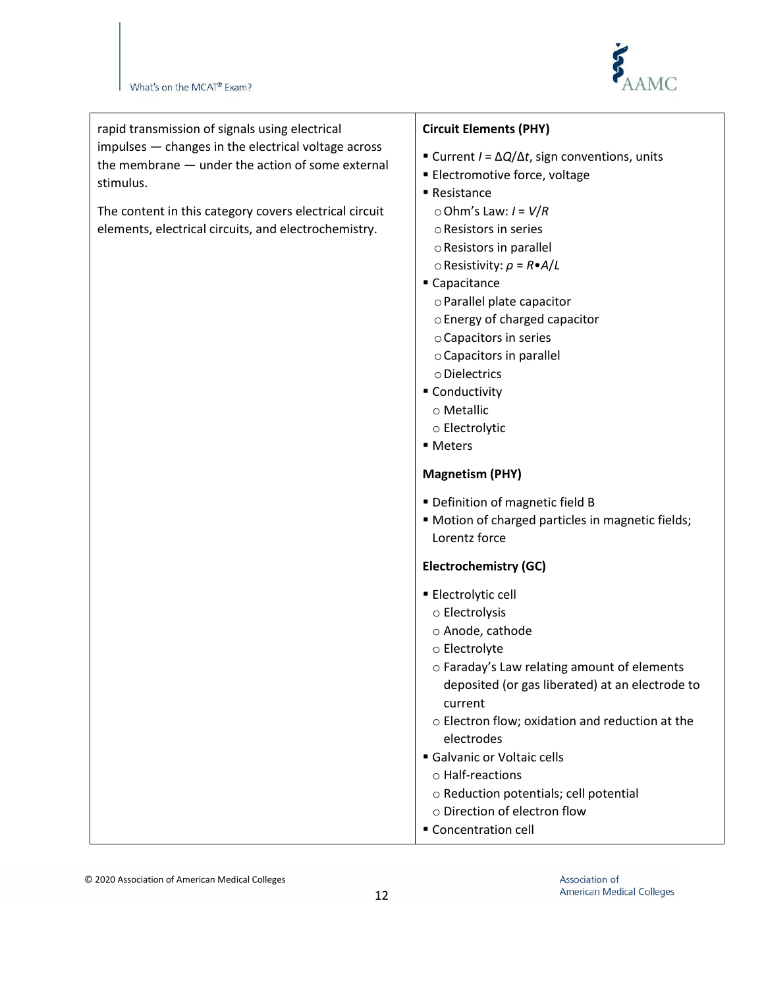

rapid transmission of signals using electrical impulses — changes in the electrical voltage across the membrane — under the action of some external stimulus. The content in this category covers electrical circuit elements, electrical circuits, and electrochemistry. **Circuit Elements (PHY)** ▪ Current *I* = Δ*Q*/Δ*t*, sign conventions, units **Electromotive force, voltage** ■ Resistance oOhm's Law: *I* = *V*/*R* oResistors in series oResistors in parallel oResistivity: *ρ* = *R*•*A*/*L* ■ Capacitance oParallel plate capacitor oEnergy of charged capacitor oCapacitors in series oCapacitors in parallel oDielectrics ■ Conductivity o Metallic o Electrolytic ■ Meters **Magnetism (PHY)** ■ Definition of magnetic field B ■ Motion of charged particles in magnetic fields; Lorentz force **Electrochemistry (GC) Electrolytic cell** o Electrolysis o Anode, cathode o Electrolyte o Faraday's Law relating amount of elements deposited (or gas liberated) at an electrode to current o Electron flow; oxidation and reduction at the electrodes ■ Galvanic or Voltaic cells o Half-reactions o Reduction potentials; cell potential o Direction of electron flow ■ Concentration cell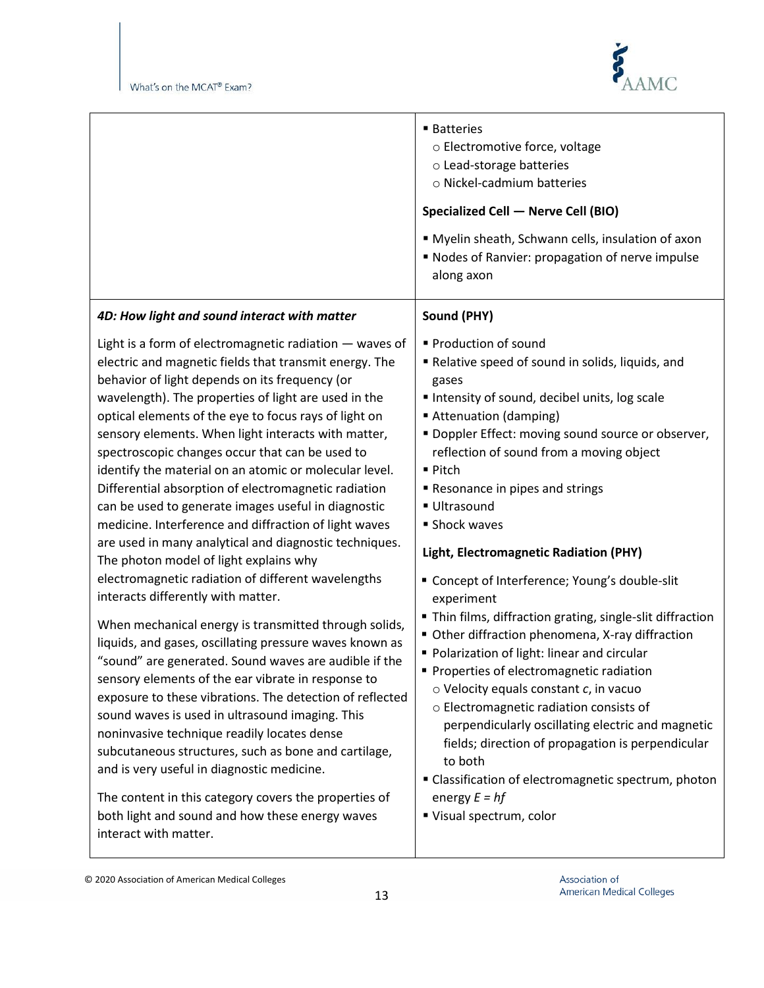

|                                                                                                                                                                                                                                                                                                                                                                                                                                                                                                                                                                                                                                                                                                                                                                                                                                                                                                                                                                                                                                                                                                                                                                                                                                                                                                                                           | ■ Batteries<br>o Electromotive force, voltage<br>o Lead-storage batteries<br>o Nickel-cadmium batteries<br>Specialized Cell - Nerve Cell (BIO)<br>" Myelin sheath, Schwann cells, insulation of axon<br>Nodes of Ranvier: propagation of nerve impulse<br>along axon                                                                                                                                                                                                                                                                                                                                                                                                                                                                                                                                                                                                                                                                   |
|-------------------------------------------------------------------------------------------------------------------------------------------------------------------------------------------------------------------------------------------------------------------------------------------------------------------------------------------------------------------------------------------------------------------------------------------------------------------------------------------------------------------------------------------------------------------------------------------------------------------------------------------------------------------------------------------------------------------------------------------------------------------------------------------------------------------------------------------------------------------------------------------------------------------------------------------------------------------------------------------------------------------------------------------------------------------------------------------------------------------------------------------------------------------------------------------------------------------------------------------------------------------------------------------------------------------------------------------|----------------------------------------------------------------------------------------------------------------------------------------------------------------------------------------------------------------------------------------------------------------------------------------------------------------------------------------------------------------------------------------------------------------------------------------------------------------------------------------------------------------------------------------------------------------------------------------------------------------------------------------------------------------------------------------------------------------------------------------------------------------------------------------------------------------------------------------------------------------------------------------------------------------------------------------|
| 4D: How light and sound interact with matter                                                                                                                                                                                                                                                                                                                                                                                                                                                                                                                                                                                                                                                                                                                                                                                                                                                                                                                                                                                                                                                                                                                                                                                                                                                                                              | Sound (PHY)                                                                                                                                                                                                                                                                                                                                                                                                                                                                                                                                                                                                                                                                                                                                                                                                                                                                                                                            |
| Light is a form of electromagnetic radiation $-$ waves of<br>electric and magnetic fields that transmit energy. The<br>behavior of light depends on its frequency (or<br>wavelength). The properties of light are used in the<br>optical elements of the eye to focus rays of light on<br>sensory elements. When light interacts with matter,<br>spectroscopic changes occur that can be used to<br>identify the material on an atomic or molecular level.<br>Differential absorption of electromagnetic radiation<br>can be used to generate images useful in diagnostic<br>medicine. Interference and diffraction of light waves<br>are used in many analytical and diagnostic techniques.<br>The photon model of light explains why<br>electromagnetic radiation of different wavelengths<br>interacts differently with matter.<br>When mechanical energy is transmitted through solids,<br>liquids, and gases, oscillating pressure waves known as<br>"sound" are generated. Sound waves are audible if the<br>sensory elements of the ear vibrate in response to<br>exposure to these vibrations. The detection of reflected<br>sound waves is used in ultrasound imaging. This<br>noninvasive technique readily locates dense<br>subcutaneous structures, such as bone and cartilage,<br>and is very useful in diagnostic medicine. | Production of sound<br>Relative speed of sound in solids, liquids, and<br>gases<br>Intensity of sound, decibel units, log scale<br>Attenuation (damping)<br>" Doppler Effect: moving sound source or observer,<br>reflection of sound from a moving object<br>■ Pitch<br>Resonance in pipes and strings<br>Ultrasound<br>■ Shock waves<br>Light, Electromagnetic Radiation (PHY)<br>" Concept of Interference; Young's double-slit<br>experiment<br>" Thin films, diffraction grating, single-slit diffraction<br>• Other diffraction phenomena, X-ray diffraction<br>Polarization of light: linear and circular<br>Properties of electromagnetic radiation<br>$\circ$ Velocity equals constant $c$ , in vacuo<br>o Electromagnetic radiation consists of<br>perpendicularly oscillating electric and magnetic<br>fields; direction of propagation is perpendicular<br>to both<br>" Classification of electromagnetic spectrum, photon |
| The content in this category covers the properties of<br>both light and sound and how these energy waves<br>interact with matter.                                                                                                                                                                                                                                                                                                                                                                                                                                                                                                                                                                                                                                                                                                                                                                                                                                                                                                                                                                                                                                                                                                                                                                                                         | energy $E = hf$<br>Visual spectrum, color                                                                                                                                                                                                                                                                                                                                                                                                                                                                                                                                                                                                                                                                                                                                                                                                                                                                                              |

<sup>© 2020</sup> Association of American Medical Colleges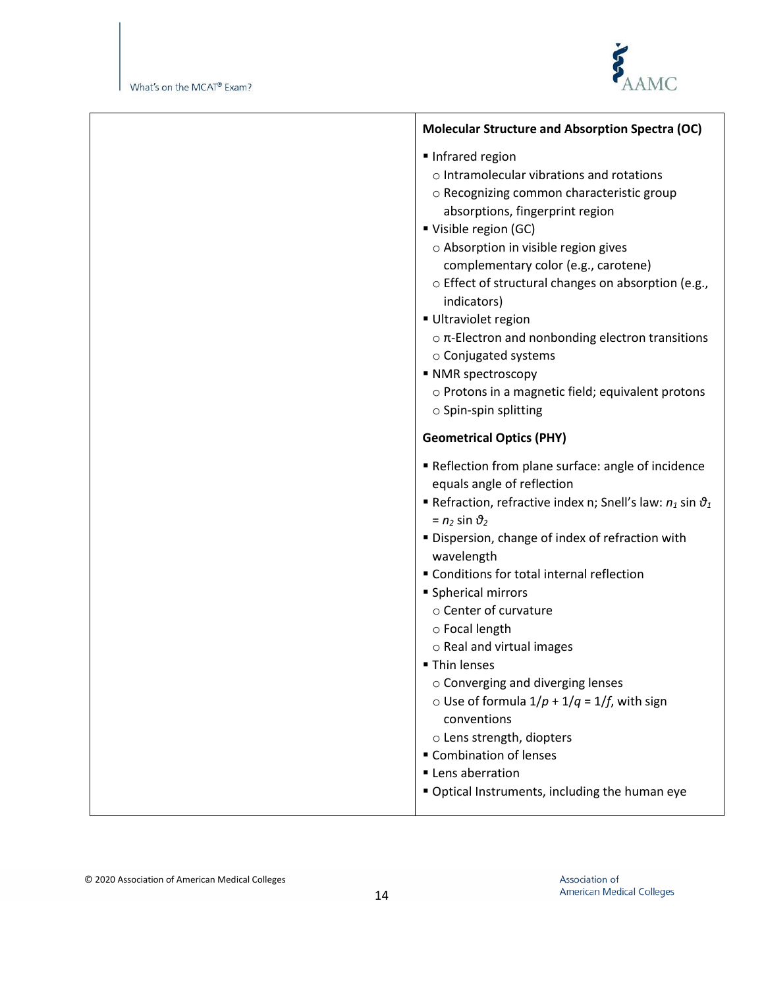

┑

| <b>Molecular Structure and Absorption Spectra (OC)</b>                                                                                                                                                                                                                                                                                                                                                                                                                                                                                                                                                                                                                                |
|---------------------------------------------------------------------------------------------------------------------------------------------------------------------------------------------------------------------------------------------------------------------------------------------------------------------------------------------------------------------------------------------------------------------------------------------------------------------------------------------------------------------------------------------------------------------------------------------------------------------------------------------------------------------------------------|
| Infrared region<br>o Intramolecular vibrations and rotations<br>o Recognizing common characteristic group<br>absorptions, fingerprint region<br>Visible region (GC)<br>o Absorption in visible region gives<br>complementary color (e.g., carotene)<br>o Effect of structural changes on absorption (e.g.,<br>indicators)<br>Ultraviolet region<br>$\circ$ $\pi$ -Electron and nonbonding electron transitions<br>○ Conjugated systems<br>• NMR spectroscopy<br>o Protons in a magnetic field; equivalent protons<br>○ Spin-spin splitting                                                                                                                                            |
| <b>Geometrical Optics (PHY)</b>                                                                                                                                                                                                                                                                                                                                                                                                                                                                                                                                                                                                                                                       |
| Reflection from plane surface: angle of incidence<br>equals angle of reflection<br>Refraction, refractive index n; Snell's law: $n_1$ sin $\vartheta_1$<br>$=$ n <sub>2</sub> sin $\vartheta$ <sub>2</sub><br>Dispersion, change of index of refraction with<br>wavelength<br>" Conditions for total internal reflection<br>■ Spherical mirrors<br>o Center of curvature<br>o Focal length<br>o Real and virtual images<br>Thin lenses<br>$\circ$ Converging and diverging lenses<br>$\circ$ Use of formula $1/p + 1/q = 1/f$ , with sign<br>conventions<br>o Lens strength, diopters<br>" Combination of lenses<br>Lens aberration<br>" Optical Instruments, including the human eye |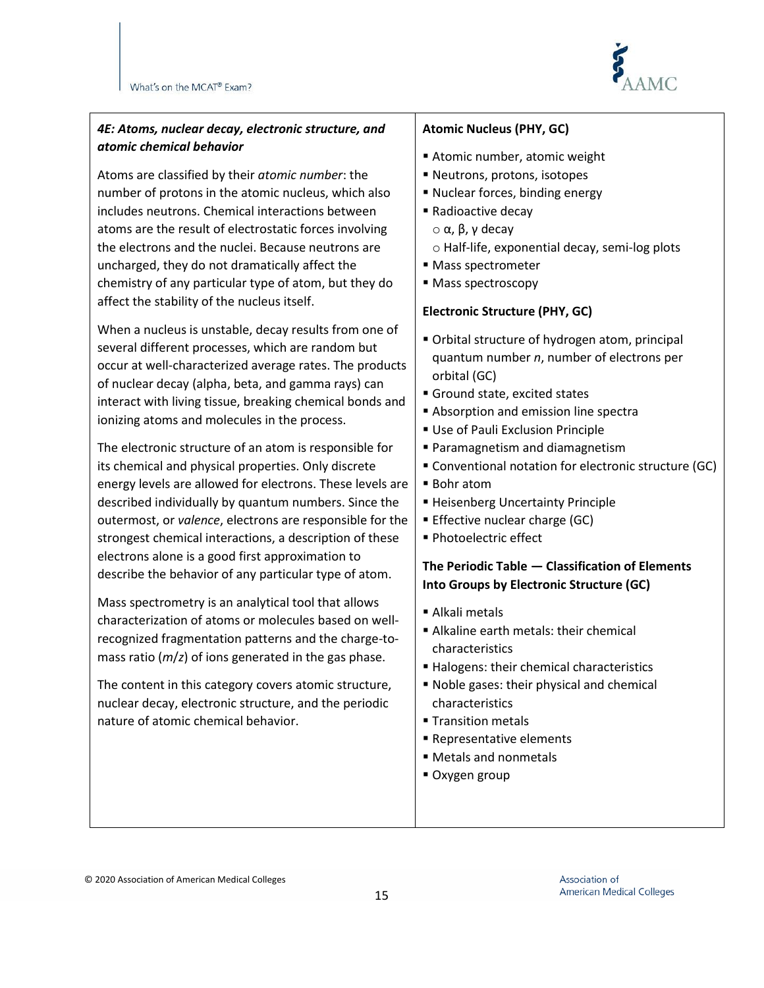

# *4E: Atoms, nuclear decay, electronic structure, and atomic chemical behavior*

Atoms are classified by their *atomic number*: the number of protons in the atomic nucleus, which also includes neutrons. Chemical interactions between atoms are the result of electrostatic forces involving the electrons and the nuclei. Because neutrons are uncharged, they do not dramatically affect the chemistry of any particular type of atom, but they do affect the stability of the nucleus itself.

When a nucleus is unstable, decay results from one of several different processes, which are random but occur at well-characterized average rates. The products of nuclear decay (alpha, beta, and gamma rays) can interact with living tissue, breaking chemical bonds and ionizing atoms and molecules in the process.

The electronic structure of an atom is responsible for its chemical and physical properties. Only discrete energy levels are allowed for electrons. These levels are described individually by quantum numbers. Since the outermost, or *valence*, electrons are responsible for the strongest chemical interactions, a description of these electrons alone is a good first approximation to describe the behavior of any particular type of atom.

Mass spectrometry is an analytical tool that allows characterization of atoms or molecules based on wellrecognized fragmentation patterns and the charge-tomass ratio (*m*/*z*) of ions generated in the gas phase.

The content in this category covers atomic structure, nuclear decay, electronic structure, and the periodic nature of atomic chemical behavior.

# **Atomic Nucleus (PHY, GC)**

- Atomic number, atomic weight
- Neutrons, protons, isotopes
- Nuclear forces, binding energy
- Radioactive decay
	- $\circ$  α, β, γ decay
- o Half-life, exponential decay, semi-log plots
- Mass spectrometer
- Mass spectroscopy

# **Electronic Structure (PHY, GC)**

- Orbital structure of hydrogen atom, principal quantum number *n*, number of electrons per orbital (GC)
- Ground state, excited states
- **EX Absorption and emission line spectral**
- Use of Pauli Exclusion Principle
- Paramagnetism and diamagnetism
- Conventional notation for electronic structure (GC)
- Bohr atom
- **E** Heisenberg Uncertainty Principle
- **Effective nuclear charge (GC)**
- Photoelectric effect

# **The Periodic Table ― Classification of Elements Into Groups by Electronic Structure (GC)**

- Alkali metals
- Alkaline earth metals: their chemical characteristics
- Halogens: their chemical characteristics
- Noble gases: their physical and chemical characteristics
- **Transition metals**
- Representative elements
- Metals and nonmetals
- Oxygen group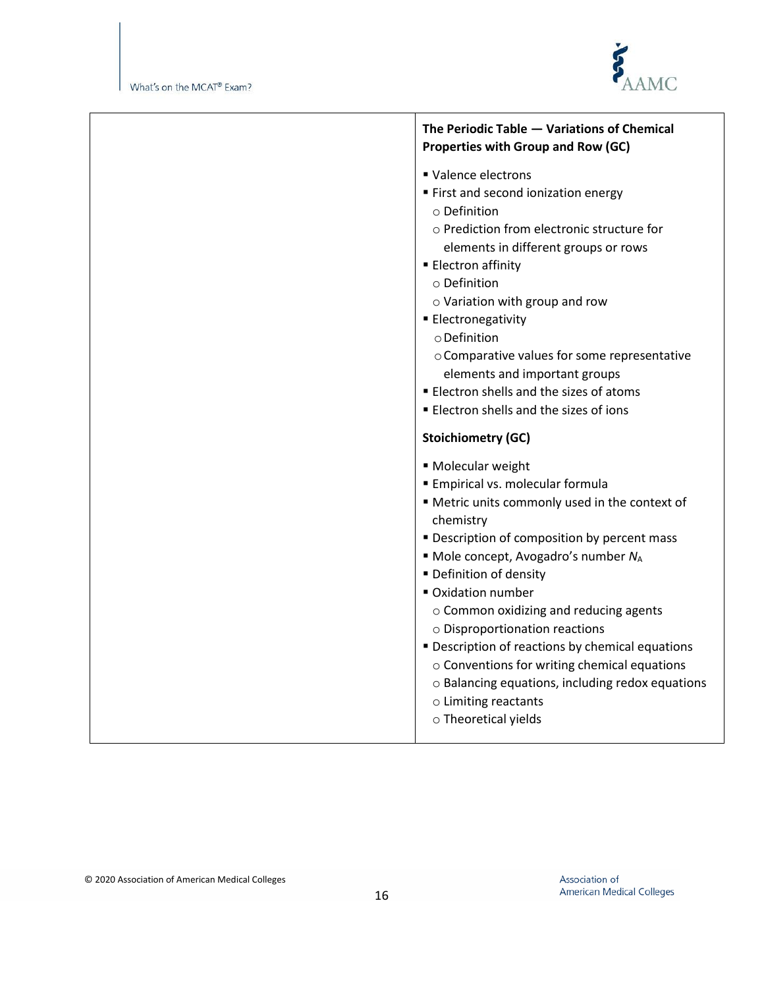

| The Periodic Table - Variations of Chemical<br>Properties with Group and Row (GC)                                                                                                                                                                                                                                                                                                                                                                                                                                                                                |
|------------------------------------------------------------------------------------------------------------------------------------------------------------------------------------------------------------------------------------------------------------------------------------------------------------------------------------------------------------------------------------------------------------------------------------------------------------------------------------------------------------------------------------------------------------------|
| ■ Valence electrons<br>" First and second ionization energy<br>o Definition<br>o Prediction from electronic structure for<br>elements in different groups or rows<br><b>Electron affinity</b><br>o Definition<br>o Variation with group and row<br>■ Electronegativity<br>o Definition<br>o Comparative values for some representative<br>elements and important groups<br><b>Electron shells and the sizes of atoms</b><br>Electron shells and the sizes of ions                                                                                                |
| <b>Stoichiometry (GC)</b>                                                                                                                                                                                                                                                                                                                                                                                                                                                                                                                                        |
| ■ Molecular weight<br><b>Empirical vs. molecular formula</b><br>" Metric units commonly used in the context of<br>chemistry<br>" Description of composition by percent mass<br>• Mole concept, Avogadro's number NA<br>• Definition of density<br>Oxidation number<br>$\circ$ Common oxidizing and reducing agents<br>o Disproportionation reactions<br>Description of reactions by chemical equations<br>o Conventions for writing chemical equations<br>$\circ$ Balancing equations, including redox equations<br>o Limiting reactants<br>o Theoretical yields |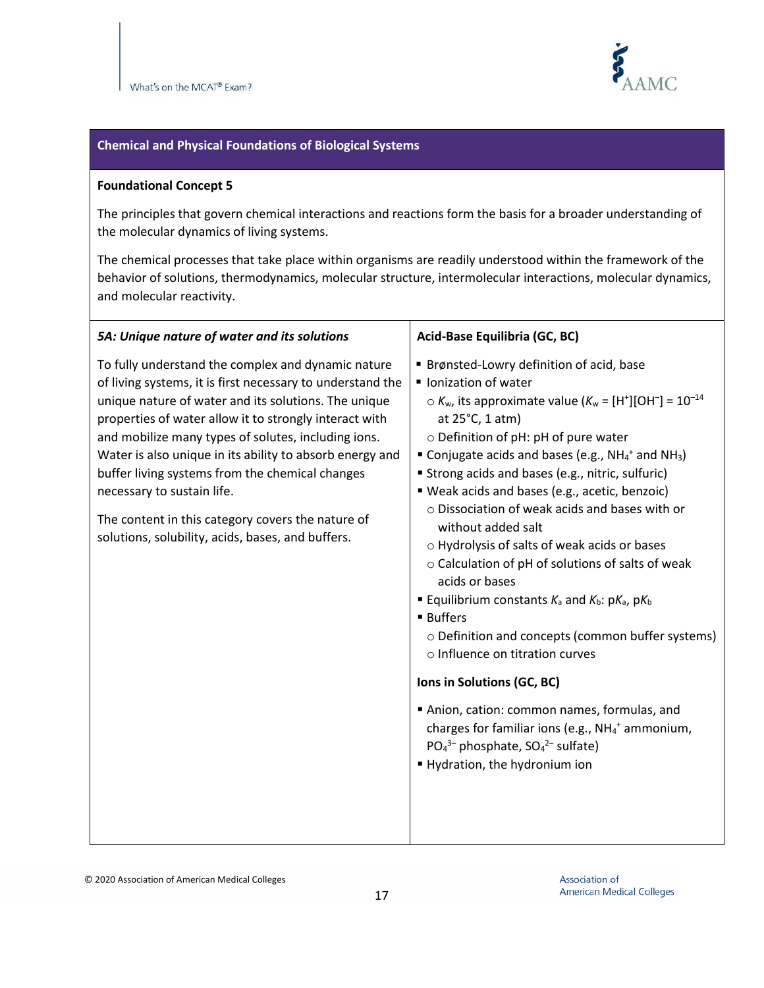

### **Chemical and Physical Foundations of Biological Systems**

### **Foundational Concept 5**

The principles that govern chemical interactions and reactions form the basis for a broader understanding of the molecular dynamics of living systems.

The chemical processes that take place within organisms are readily understood within the framework of the behavior of solutions, thermodynamics, molecular structure, intermolecular interactions, molecular dynamics, and molecular reactivity.

| 5A: Unique nature of water and its solutions                                                                                                                                                                                                                                                                                                                                                                                                                                                                                                     | Acid-Base Equilibria (GC, BC)                                                                                                                                                                                                                                                                                                                                                                                                                                                                                                                                                                                                                                                                                                                                                                                                                                                                                                                                                                                                                                                                    |
|--------------------------------------------------------------------------------------------------------------------------------------------------------------------------------------------------------------------------------------------------------------------------------------------------------------------------------------------------------------------------------------------------------------------------------------------------------------------------------------------------------------------------------------------------|--------------------------------------------------------------------------------------------------------------------------------------------------------------------------------------------------------------------------------------------------------------------------------------------------------------------------------------------------------------------------------------------------------------------------------------------------------------------------------------------------------------------------------------------------------------------------------------------------------------------------------------------------------------------------------------------------------------------------------------------------------------------------------------------------------------------------------------------------------------------------------------------------------------------------------------------------------------------------------------------------------------------------------------------------------------------------------------------------|
| To fully understand the complex and dynamic nature<br>of living systems, it is first necessary to understand the<br>unique nature of water and its solutions. The unique<br>properties of water allow it to strongly interact with<br>and mobilize many types of solutes, including ions.<br>Water is also unique in its ability to absorb energy and<br>buffer living systems from the chemical changes<br>necessary to sustain life.<br>The content in this category covers the nature of<br>solutions, solubility, acids, bases, and buffers. | " Brønsted-Lowry definition of acid, base<br>lonization of water<br>$\circ$ K <sub>w</sub> , its approximate value (K <sub>w</sub> = [H <sup>+</sup> ][OH <sup>-</sup> ] = 10 <sup>-14</sup><br>at 25°C, 1 atm)<br>○ Definition of pH: pH of pure water<br>" Conjugate acids and bases (e.g., $NH_4$ <sup>+</sup> and $NH_3$ )<br>" Strong acids and bases (e.g., nitric, sulfuric)<br>" Weak acids and bases (e.g., acetic, benzoic)<br>o Dissociation of weak acids and bases with or<br>without added salt<br>o Hydrolysis of salts of weak acids or bases<br>o Calculation of pH of solutions of salts of weak<br>acids or bases<br><b>Equilibrium constants <math>K_a</math> and <math>K_b</math>: p<math>K_a</math>, p<math>K_b</math></b><br><b>Buffers</b><br>o Definition and concepts (common buffer systems)<br>o Influence on titration curves<br>Ions in Solutions (GC, BC)<br>Anion, cation: common names, formulas, and<br>charges for familiar ions (e.g., NH <sub>4</sub> <sup>+</sup> ammonium,<br>$PO_4^{3-}$ phosphate, $SO_4^{2-}$ sulfate)<br>Hydration, the hydronium ion |
|                                                                                                                                                                                                                                                                                                                                                                                                                                                                                                                                                  |                                                                                                                                                                                                                                                                                                                                                                                                                                                                                                                                                                                                                                                                                                                                                                                                                                                                                                                                                                                                                                                                                                  |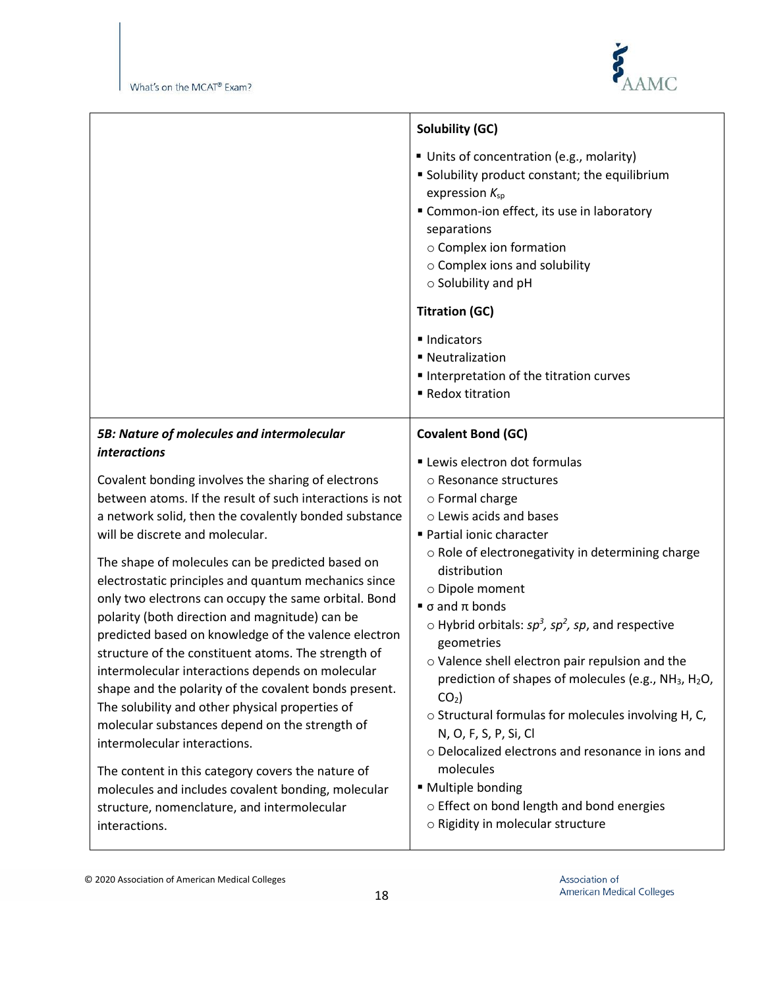

|                                                                                                                                                                                                                                                                                                                                                                                                                                                                                                                                                                                                                                                                                                                                                                                                   | Solubility (GC)                                                                                                                                                                                                                                                                                                                                                                                                                                                                                                                                                                                                                           |
|---------------------------------------------------------------------------------------------------------------------------------------------------------------------------------------------------------------------------------------------------------------------------------------------------------------------------------------------------------------------------------------------------------------------------------------------------------------------------------------------------------------------------------------------------------------------------------------------------------------------------------------------------------------------------------------------------------------------------------------------------------------------------------------------------|-------------------------------------------------------------------------------------------------------------------------------------------------------------------------------------------------------------------------------------------------------------------------------------------------------------------------------------------------------------------------------------------------------------------------------------------------------------------------------------------------------------------------------------------------------------------------------------------------------------------------------------------|
|                                                                                                                                                                                                                                                                                                                                                                                                                                                                                                                                                                                                                                                                                                                                                                                                   | Units of concentration (e.g., molarity)<br>Solubility product constant; the equilibrium<br>expression $K_{sp}$<br>" Common-ion effect, its use in laboratory<br>separations<br>o Complex ion formation<br>o Complex ions and solubility<br>o Solubility and pH                                                                                                                                                                                                                                                                                                                                                                            |
|                                                                                                                                                                                                                                                                                                                                                                                                                                                                                                                                                                                                                                                                                                                                                                                                   | <b>Titration (GC)</b>                                                                                                                                                                                                                                                                                                                                                                                                                                                                                                                                                                                                                     |
|                                                                                                                                                                                                                                                                                                                                                                                                                                                                                                                                                                                                                                                                                                                                                                                                   | ■ Indicators<br>■ Neutralization<br>Interpretation of the titration curves<br>Redox titration                                                                                                                                                                                                                                                                                                                                                                                                                                                                                                                                             |
| 5B: Nature of molecules and intermolecular<br><i>interactions</i>                                                                                                                                                                                                                                                                                                                                                                                                                                                                                                                                                                                                                                                                                                                                 | <b>Covalent Bond (GC)</b>                                                                                                                                                                                                                                                                                                                                                                                                                                                                                                                                                                                                                 |
| Covalent bonding involves the sharing of electrons<br>between atoms. If the result of such interactions is not<br>a network solid, then the covalently bonded substance<br>will be discrete and molecular.<br>The shape of molecules can be predicted based on<br>electrostatic principles and quantum mechanics since<br>only two electrons can occupy the same orbital. Bond<br>polarity (both direction and magnitude) can be<br>predicted based on knowledge of the valence electron<br>structure of the constituent atoms. The strength of<br>intermolecular interactions depends on molecular<br>shape and the polarity of the covalent bonds present.<br>The solubility and other physical properties of<br>molecular substances depend on the strength of<br>intermolecular interactions. | Lewis electron dot formulas<br>o Resonance structures<br>o Formal charge<br>$\circ$ Lewis acids and bases<br>Partial ionic character<br>o Role of electronegativity in determining charge<br>distribution<br>o Dipole moment<br>$\blacksquare$ $\sigma$ and $\pi$ bonds<br>$\circ$ Hybrid orbitals: $sp^3$ , $sp^2$ , sp, and respective<br>geometries<br>o Valence shell electron pair repulsion and the<br>prediction of shapes of molecules (e.g., NH <sub>3</sub> , H <sub>2</sub> O,<br>$CO2$ )<br>o Structural formulas for molecules involving H, C,<br>N, O, F, S, P, Si, Cl<br>o Delocalized electrons and resonance in ions and |
| The content in this category covers the nature of<br>molecules and includes covalent bonding, molecular<br>structure, nomenclature, and intermolecular<br>interactions.                                                                                                                                                                                                                                                                                                                                                                                                                                                                                                                                                                                                                           | molecules<br>Multiple bonding<br>o Effect on bond length and bond energies<br>o Rigidity in molecular structure                                                                                                                                                                                                                                                                                                                                                                                                                                                                                                                           |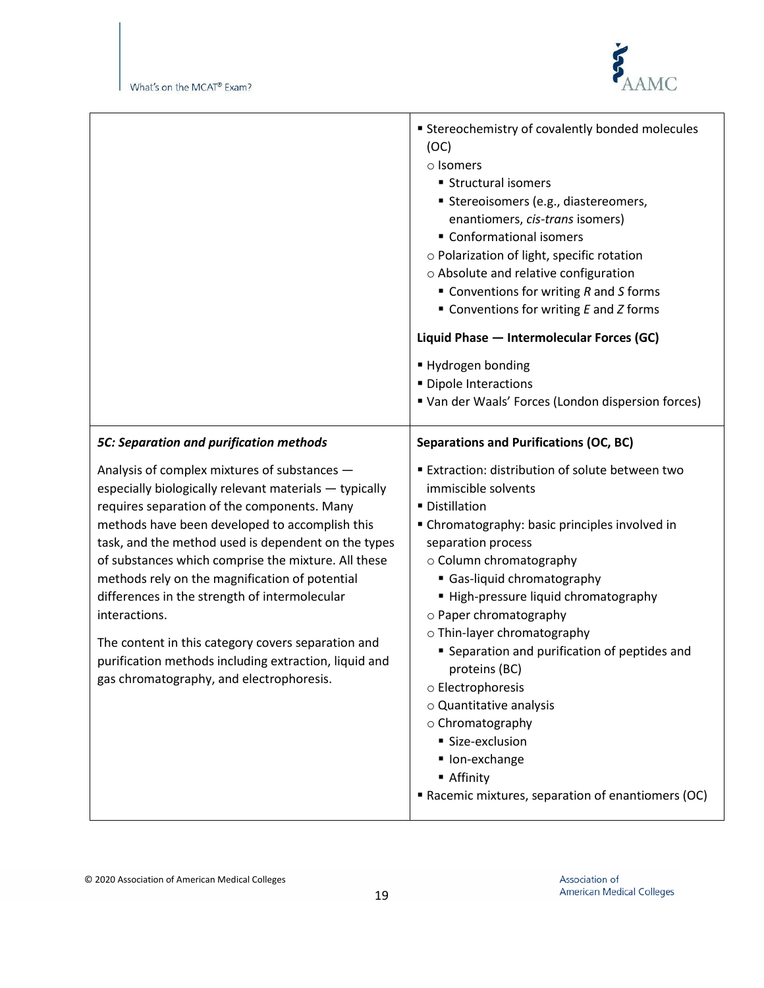

|                                                                                                                                                                                                                                                                                                                                                                                                                                                                                                                                                                                                                                                        | <b>Stereochemistry of covalently bonded molecules</b><br>(OC)<br>o Isomers<br>Structural isomers<br>Stereoisomers (e.g., diastereomers,<br>enantiomers, cis-trans isomers)<br>Conformational isomers<br>o Polarization of light, specific rotation<br>o Absolute and relative configuration<br>$\blacksquare$ Conventions for writing R and S forms<br>$\blacksquare$ Conventions for writing E and Z forms<br>Liquid Phase - Intermolecular Forces (GC)<br>Hydrogen bonding<br>· Dipole Interactions<br>" Van der Waals' Forces (London dispersion forces) |
|--------------------------------------------------------------------------------------------------------------------------------------------------------------------------------------------------------------------------------------------------------------------------------------------------------------------------------------------------------------------------------------------------------------------------------------------------------------------------------------------------------------------------------------------------------------------------------------------------------------------------------------------------------|-------------------------------------------------------------------------------------------------------------------------------------------------------------------------------------------------------------------------------------------------------------------------------------------------------------------------------------------------------------------------------------------------------------------------------------------------------------------------------------------------------------------------------------------------------------|
| <b>5C: Separation and purification methods</b><br>Analysis of complex mixtures of substances -<br>especially biologically relevant materials - typically<br>requires separation of the components. Many<br>methods have been developed to accomplish this<br>task, and the method used is dependent on the types<br>of substances which comprise the mixture. All these<br>methods rely on the magnification of potential<br>differences in the strength of intermolecular<br>interactions.<br>The content in this category covers separation and<br>purification methods including extraction, liquid and<br>gas chromatography, and electrophoresis. | <b>Separations and Purifications (OC, BC)</b><br><b>Extraction: distribution of solute between two</b><br>immiscible solvents<br>■ Distillation<br>" Chromatography: basic principles involved in<br>separation process<br>o Column chromatography<br>Gas-liquid chromatography<br>High-pressure liquid chromatography<br>o Paper chromatography<br>o Thin-layer chromatography<br>Separation and purification of peptides and<br>proteins (BC)<br>o Electrophoresis<br>o Quantitative analysis<br>o Chromatography<br>Size-exclusion<br>• Ion-exchange     |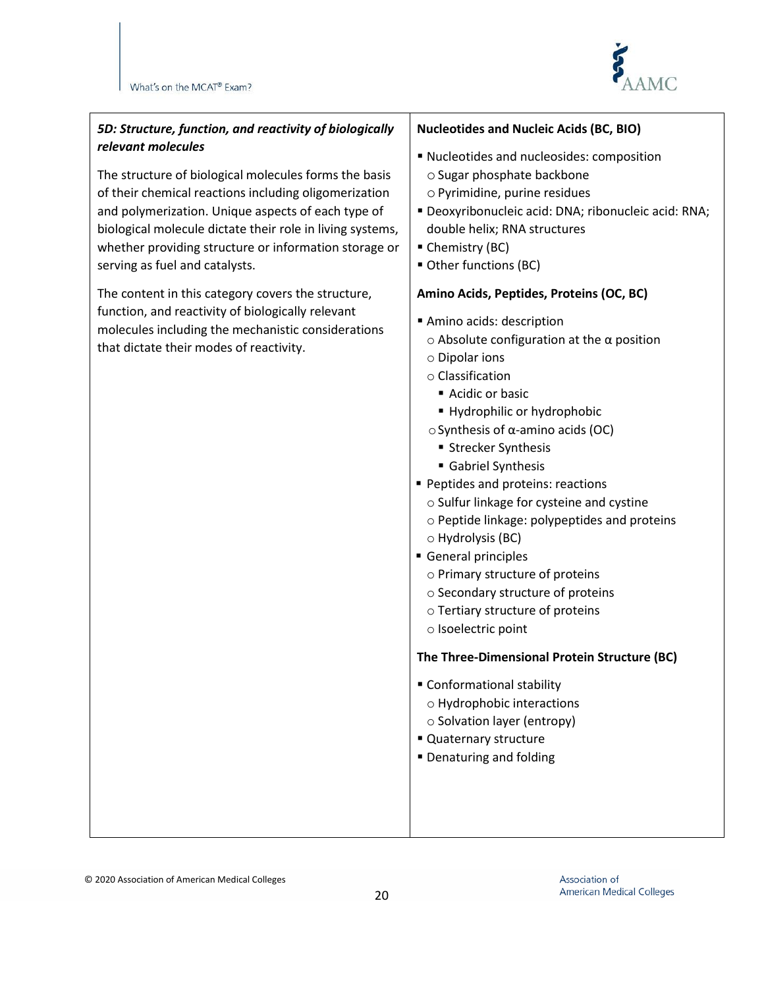

# *5D: Structure, function, and reactivity of biologically relevant molecules*

The structure of biological molecules forms the basis of their chemical reactions including oligomerization and polymerization. Unique aspects of each type of biological molecule dictate their role in living systems, whether providing structure or information storage or serving as fuel and catalysts.

The content in this category covers the structure, function, and reactivity of biologically relevant molecules including the mechanistic considerations that dictate their modes of reactivity.

### **Nucleotides and Nucleic Acids (BC, BIO)**

- Nucleotides and nucleosides: composition o Sugar phosphate backbone
- o Pyrimidine, purine residues
- Deoxyribonucleic acid: DNA; ribonucleic acid: RNA; double helix; RNA structures
- Chemistry (BC)
- Other functions (BC)

### **Amino Acids, Peptides, Proteins (OC, BC)**

- **Amino acids: description** 
	- $\circ$  Absolute configuration at the  $\alpha$  position
	- o Dipolar ions
	- o Classification
		- Acidic or basic
		- **E** Hydrophilic or hydrophobic
	- oSynthesis of α-amino acids (OC)
		- Strecker Synthesis
		- Gabriel Synthesis
- **Peptides and proteins: reactions** 
	- o Sulfur linkage for cysteine and cystine
	- o Peptide linkage: polypeptides and proteins
	- o Hydrolysis (BC)
- General principles
	- o Primary structure of proteins
	- o Secondary structure of proteins
	- o Tertiary structure of proteins
	- o Isoelectric point

### **The Three-Dimensional Protein Structure (BC)**

- Conformational stability
	- o Hydrophobic interactions
	- o Solvation layer (entropy)
- **Quaternary structure**
- Denaturing and folding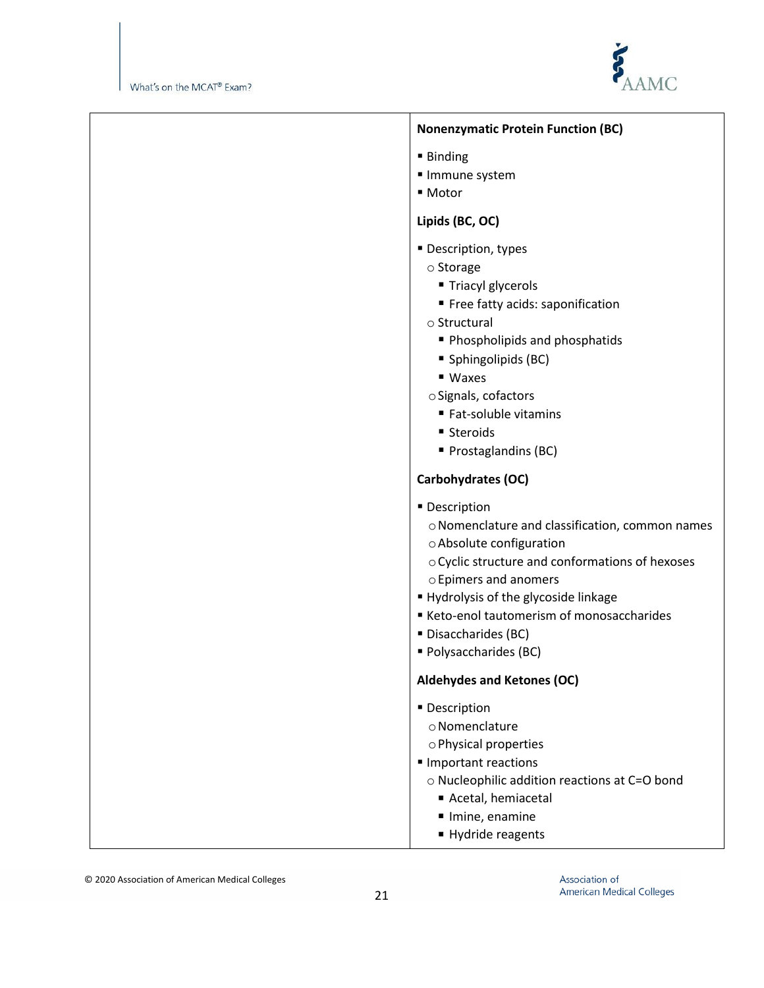

### **Nonenzymatic Protein Function (BC)**

- Binding
- **Immune system**
- Motor

# **Lipids (BC, OC)**

- Description, types
	- o Storage
		- Triacyl glycerols
		- **Filter Free fatty acids: saponification**
	- o Structural
		- Phospholipids and phosphatids
		- Sphingolipids (BC)
		- Waxes
	- oSignals, cofactors
		- Fat-soluble vitamins
		- Steroids
		- Prostaglandins (BC)

# **Carbohydrates (OC)**

- Description
	- oNomenclature and classification, common names
	- oAbsolute configuration
	- oCyclic structure and conformations of hexoses
	- oEpimers and anomers
- **E** Hydrolysis of the glycoside linkage
- Keto-enol tautomerism of monosaccharides
- Disaccharides (BC)
- Polysaccharides (BC)

# **Aldehydes and Ketones (OC)**

- Description
	- oNomenclature
	- oPhysical properties
- Important reactions

o Nucleophilic addition reactions at C=O bond

- Acetal, hemiacetal
- Imine, enamine
- Hydride reagents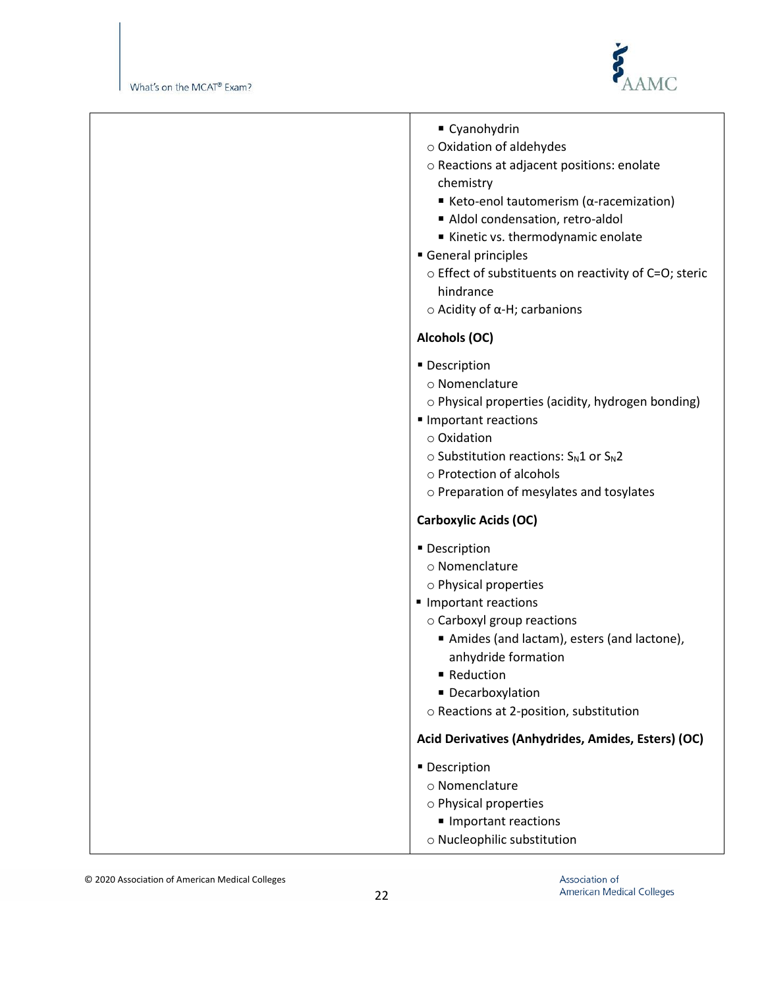

٦

| ■ Cyanohydrin<br>$\circ$ Oxidation of aldehydes<br>o Reactions at adjacent positions: enolate<br>chemistry                                                                                                                                                                 |  |
|----------------------------------------------------------------------------------------------------------------------------------------------------------------------------------------------------------------------------------------------------------------------------|--|
| Example Keto-enol tautomerism ( $\alpha$ -racemization)<br>Aldol condensation, retro-aldol<br>Kinetic vs. thermodynamic enolate<br>General principles<br>o Effect of substituents on reactivity of C=O; steric<br>hindrance<br>$\circ$ Acidity of $\alpha$ -H; carbanions  |  |
| Alcohols (OC)                                                                                                                                                                                                                                                              |  |
| ■ Description<br>o Nomenclature<br>$\circ$ Physical properties (acidity, hydrogen bonding)<br>Important reactions<br>○ Oxidation<br>$\circ$ Substitution reactions: $S_N1$ or $S_N2$<br>o Protection of alcohols<br>o Preparation of mesylates and tosylates               |  |
| <b>Carboxylic Acids (OC)</b>                                                                                                                                                                                                                                               |  |
| <b>• Description</b><br>o Nomenclature<br>o Physical properties<br>Important reactions<br>$\circ$ Carboxyl group reactions<br>Amides (and lactam), esters (and lactone),<br>anhydride formation<br>Reduction<br>Decarboxylation<br>o Reactions at 2-position, substitution |  |
| Acid Derivatives (Anhydrides, Amides, Esters) (OC)                                                                                                                                                                                                                         |  |
| <b>• Description</b><br>o Nomenclature<br>o Physical properties<br>Important reactions                                                                                                                                                                                     |  |

o Nucleophilic substitution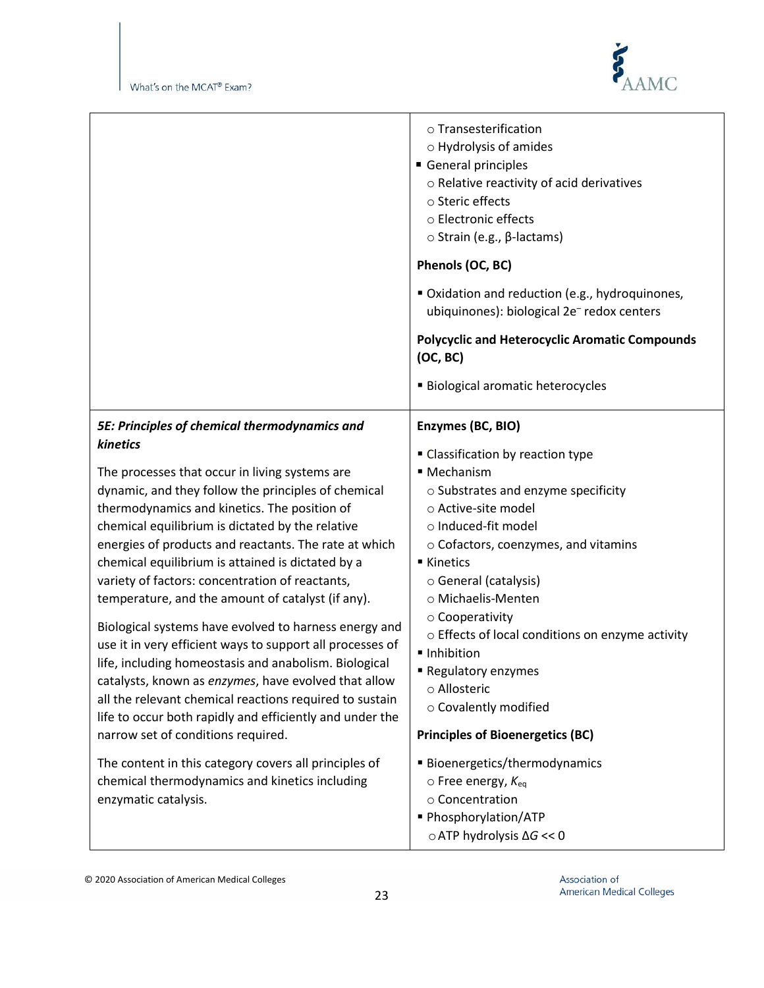

|                                                                                                                                                                                                                                                                                                                                                                                                                                                                                                                                                                                                                                                                                                                                                                                                                                     | o Transesterification<br>o Hydrolysis of amides<br>General principles<br>$\circ$ Relative reactivity of acid derivatives<br>o Steric effects<br>o Electronic effects<br>$\circ$ Strain (e.g., $\beta$ -lactams)                                                                                                                                                                                                            |
|-------------------------------------------------------------------------------------------------------------------------------------------------------------------------------------------------------------------------------------------------------------------------------------------------------------------------------------------------------------------------------------------------------------------------------------------------------------------------------------------------------------------------------------------------------------------------------------------------------------------------------------------------------------------------------------------------------------------------------------------------------------------------------------------------------------------------------------|----------------------------------------------------------------------------------------------------------------------------------------------------------------------------------------------------------------------------------------------------------------------------------------------------------------------------------------------------------------------------------------------------------------------------|
|                                                                                                                                                                                                                                                                                                                                                                                                                                                                                                                                                                                                                                                                                                                                                                                                                                     | Phenols (OC, BC)                                                                                                                                                                                                                                                                                                                                                                                                           |
|                                                                                                                                                                                                                                                                                                                                                                                                                                                                                                                                                                                                                                                                                                                                                                                                                                     | " Oxidation and reduction (e.g., hydroquinones,<br>ubiquinones): biological 2e <sup>-</sup> redox centers                                                                                                                                                                                                                                                                                                                  |
|                                                                                                                                                                                                                                                                                                                                                                                                                                                                                                                                                                                                                                                                                                                                                                                                                                     | <b>Polycyclic and Heterocyclic Aromatic Compounds</b><br>(OC, BC)                                                                                                                                                                                                                                                                                                                                                          |
|                                                                                                                                                                                                                                                                                                                                                                                                                                                                                                                                                                                                                                                                                                                                                                                                                                     | <b>Biological aromatic heterocycles</b>                                                                                                                                                                                                                                                                                                                                                                                    |
| 5E: Principles of chemical thermodynamics and                                                                                                                                                                                                                                                                                                                                                                                                                                                                                                                                                                                                                                                                                                                                                                                       | Enzymes (BC, BIO)                                                                                                                                                                                                                                                                                                                                                                                                          |
| kinetics                                                                                                                                                                                                                                                                                                                                                                                                                                                                                                                                                                                                                                                                                                                                                                                                                            | • Classification by reaction type                                                                                                                                                                                                                                                                                                                                                                                          |
| The processes that occur in living systems are<br>dynamic, and they follow the principles of chemical<br>thermodynamics and kinetics. The position of<br>chemical equilibrium is dictated by the relative<br>energies of products and reactants. The rate at which<br>chemical equilibrium is attained is dictated by a<br>variety of factors: concentration of reactants,<br>temperature, and the amount of catalyst (if any).<br>Biological systems have evolved to harness energy and<br>use it in very efficient ways to support all processes of<br>life, including homeostasis and anabolism. Biological<br>catalysts, known as enzymes, have evolved that allow<br>all the relevant chemical reactions required to sustain<br>life to occur both rapidly and efficiently and under the<br>narrow set of conditions required. | ■ Mechanism<br>$\circ$ Substrates and enzyme specificity<br>○ Active-site model<br>o Induced-fit model<br>$\circ$ Cofactors, coenzymes, and vitamins<br>■ Kinetics<br>○ General (catalysis)<br>o Michaelis-Menten<br>$\circ$ Cooperativity<br>o Effects of local conditions on enzyme activity<br>■ Inhibition<br>■ Regulatory enzymes<br>o Allosteric<br>o Covalently modified<br><b>Principles of Bioenergetics (BC)</b> |
| The content in this category covers all principles of<br>chemical thermodynamics and kinetics including<br>enzymatic catalysis.                                                                                                                                                                                                                                                                                                                                                                                                                                                                                                                                                                                                                                                                                                     | ■ Bioenergetics/thermodynamics<br>$\circ$ Free energy, $K_{eq}$<br>o Concentration<br>■ Phosphorylation/ATP<br>$\circ$ ATP hydrolysis $\Delta G \ll 0$                                                                                                                                                                                                                                                                     |